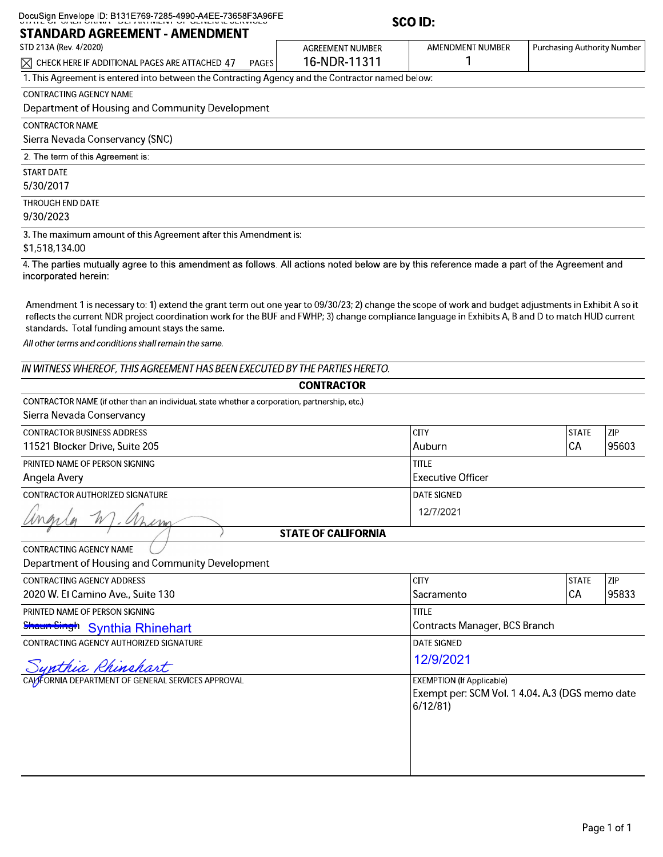| DocuSign Envelope ID: B131E769-7285-4990-A4EE-73658F3A96FE<br>SCO ID:                                                                                                                                                                                                                                                                                                                                                                           |                            |                    |                             |       |
|-------------------------------------------------------------------------------------------------------------------------------------------------------------------------------------------------------------------------------------------------------------------------------------------------------------------------------------------------------------------------------------------------------------------------------------------------|----------------------------|--------------------|-----------------------------|-------|
| STANDARD AGREEMENT - AMENDMENT<br>STD 213A (Rev. 4/2020)                                                                                                                                                                                                                                                                                                                                                                                        | <b>AGREEMENT NUMBER</b>    | AMENDMENT NUMBER   | Purchasing Authority Number |       |
| $\boxtimes$ Check here if additional pages are attached 47<br>PAGES                                                                                                                                                                                                                                                                                                                                                                             | 16-NDR-11311               | 1                  |                             |       |
| 1. This Agreement is entered into between the Contracting Agency and the Contractor named below:                                                                                                                                                                                                                                                                                                                                                |                            |                    |                             |       |
| <b>CONTRACTING AGENCY NAME</b>                                                                                                                                                                                                                                                                                                                                                                                                                  |                            |                    |                             |       |
| Department of Housing and Community Development                                                                                                                                                                                                                                                                                                                                                                                                 |                            |                    |                             |       |
| <b>CONTRACTOR NAME</b>                                                                                                                                                                                                                                                                                                                                                                                                                          |                            |                    |                             |       |
| Sierra Nevada Conservancy (SNC)                                                                                                                                                                                                                                                                                                                                                                                                                 |                            |                    |                             |       |
| 2. The term of this Agreement is:                                                                                                                                                                                                                                                                                                                                                                                                               |                            |                    |                             |       |
| <b>START DATE</b>                                                                                                                                                                                                                                                                                                                                                                                                                               |                            |                    |                             |       |
| 5/30/2017                                                                                                                                                                                                                                                                                                                                                                                                                                       |                            |                    |                             |       |
| <b>THROUGH END DATE</b>                                                                                                                                                                                                                                                                                                                                                                                                                         |                            |                    |                             |       |
| 9/30/2023                                                                                                                                                                                                                                                                                                                                                                                                                                       |                            |                    |                             |       |
| 3. The maximum amount of this Agreement after this Amendment is:                                                                                                                                                                                                                                                                                                                                                                                |                            |                    |                             |       |
| \$1,518,134.00                                                                                                                                                                                                                                                                                                                                                                                                                                  |                            |                    |                             |       |
| incorporated herein:<br>Amendment 1 is necessary to: 1) extend the grant term out one year to 09/30/23; 2) change the scope of work and budget adjustments in Exhibit A so it<br>reflects the current NDR project coordination work for the BUF and FWHP; 3) change compliance language in Exhibits A, B and D to match HUD current<br>standards. Total funding amount stays the same.<br>All other terms and conditions shall remain the same. |                            |                    |                             |       |
|                                                                                                                                                                                                                                                                                                                                                                                                                                                 |                            |                    |                             |       |
| IN WITNESS WHEREOF, THIS AGREEMENT HAS BEEN EXECUTED BY THE PARTIES HERETO.                                                                                                                                                                                                                                                                                                                                                                     |                            |                    |                             |       |
|                                                                                                                                                                                                                                                                                                                                                                                                                                                 | <b>CONTRACTOR</b>          |                    |                             |       |
| CONTRACTOR NAME (if other than an individual, state whether a corporation, partnership, etc.)                                                                                                                                                                                                                                                                                                                                                   |                            |                    |                             |       |
| Sierra Nevada Conservancy                                                                                                                                                                                                                                                                                                                                                                                                                       |                            |                    |                             |       |
| <b>CONTRACTOR BUSINESS ADDRESS</b>                                                                                                                                                                                                                                                                                                                                                                                                              |                            | <b>CITY</b>        | <b>STATE</b>                | ZIP   |
| 11521 Blocker Drive, Suite 205                                                                                                                                                                                                                                                                                                                                                                                                                  |                            | Auburn             | CA                          | 95603 |
| PRINTED NAME OF PERSON SIGNING                                                                                                                                                                                                                                                                                                                                                                                                                  |                            | <b>TITLE</b>       |                             |       |
| Angela Avery                                                                                                                                                                                                                                                                                                                                                                                                                                    |                            | Executive Officer  |                             |       |
| CONTRACTOR AUTHORIZED SIGNATURE                                                                                                                                                                                                                                                                                                                                                                                                                 |                            | <b>DATE SIGNED</b> |                             |       |
|                                                                                                                                                                                                                                                                                                                                                                                                                                                 |                            | 12/7/2021          |                             |       |
|                                                                                                                                                                                                                                                                                                                                                                                                                                                 | <b>STATE OF CALIFORNIA</b> |                    |                             |       |
| CONTRACTING AGENCY NAME                                                                                                                                                                                                                                                                                                                                                                                                                         |                            |                    |                             |       |
| Department of Housing and Community Development                                                                                                                                                                                                                                                                                                                                                                                                 |                            |                    |                             |       |

| CONTRACTING AGENCY ADDRESS                                                    | ICITY                                                                                           | <b>STATE</b> | ZIP    |
|-------------------------------------------------------------------------------|-------------------------------------------------------------------------------------------------|--------------|--------|
| 2020 W. El Camino Ave., Suite 130                                             | Sacramento                                                                                      | CA           | 195833 |
| PRINTED NAME OF PERSON SIGNING                                                | <b>TITLE</b>                                                                                    |              |        |
| Shaun Singh Synthia Rhinehart                                                 | Contracts Manager, BCS Branch                                                                   |              |        |
| CONTRACTING AGENCY AUTHORIZED SIGNATURE                                       | <b>DATE SIGNED</b>                                                                              |              |        |
| <u>Synthia Phinchart</u><br>CAUFORNIA DEPARTMENT OF GENERAL SERVICES APPROVAL | 12/9/2021                                                                                       |              |        |
|                                                                               | <b>EXEMPTION (If Applicable)</b><br>Exempt per: SCM Vol. 1 4.04. A.3 (DGS memo date<br>6/12/81) |              |        |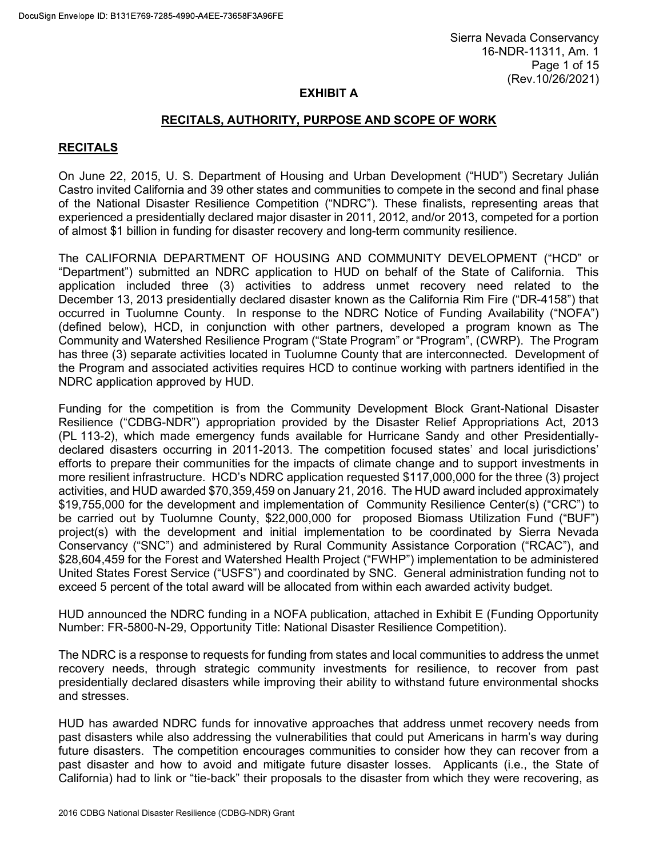Sierra Nevada Conservancy 16-NDR-11311, Am. 1 Page 1 of 15 (Rev.10/26/2021)

## EXHIBIT A

### RECITALS, AUTHORITY, PURPOSE AND SCOPE OF WORK

## RECITALS

On June 22, 2015, U. S. Department of Housing and Urban Development ("HUD") Secretary Julián Castro invited California and 39 other states and communities to compete in the second and final phase of the National Disaster Resilience Competition ("NDRC"). These finalists, representing areas that experienced a presidentially declared major disaster in 2011, 2012, and/or 2013, competed for a portion of almost \$1 billion in funding for disaster recovery and long-term community resilience.

The CALIFORNIA DEPARTMENT OF HOUSING AND COMMUNITY DEVELOPMENT ("HCD" or "Department") submitted an NDRC application to HUD on behalf of the State of California. This application included three (3) activities to address unmet recovery need related to the December 13, 2013 presidentially declared disaster known as the California Rim Fire ("DR-4158") that occurred in Tuolumne County. In response to the NDRC Notice of Funding Availability ("NOFA") (defined below), HCD, in conjunction with other partners, developed a program known as The Community and Watershed Resilience Program ("State Program" or "Program", (CWRP). The Program has three (3) separate activities located in Tuolumne County that are interconnected. Development of the Program and associated activities requires HCD to continue working with partners identified in the NDRC application approved by HUD.

Funding for the competition is from the Community Development Block Grant-National Disaster Resilience ("CDBG-NDR") appropriation provided by the Disaster Relief Appropriations Act, 2013 (PL 113-2), which made emergency funds available for Hurricane Sandy and other Presidentiallydeclared disasters occurring in 2011-2013. The competition focused states' and local jurisdictions' efforts to prepare their communities for the impacts of climate change and to support investments in more resilient infrastructure. HCD's NDRC application requested \$117,000,000 for the three (3) project activities, and HUD awarded \$70,359,459 on January 21, 2016. The HUD award included approximately \$19,755,000 for the development and implementation of Community Resilience Center(s) ("CRC") to be carried out by Tuolumne County, \$22,000,000 for proposed Biomass Utilization Fund ("BUF") project(s) with the development and initial implementation to be coordinated by Sierra Nevada Conservancy ("SNC") and administered by Rural Community Assistance Corporation ("RCAC"), and \$28,604,459 for the Forest and Watershed Health Project ("FWHP") implementation to be administered United States Forest Service ("USFS") and coordinated by SNC. General administration funding not to exceed 5 percent of the total award will be allocated from within each awarded activity budget.

HUD announced the NDRC funding in a NOFA publication, attached in Exhibit E (Funding Opportunity Number: FR-5800-N-29, Opportunity Title: National Disaster Resilience Competition).

The NDRC is a response to requests for funding from states and local communities to address the unmet recovery needs, through strategic community investments for resilience, to recover from past presidentially declared disasters while improving their ability to withstand future environmental shocks and stresses.

HUD has awarded NDRC funds for innovative approaches that address unmet recovery needs from past disasters while also addressing the vulnerabilities that could put Americans in harm's way during future disasters. The competition encourages communities to consider how they can recover from a past disaster and how to avoid and mitigate future disaster losses. Applicants (i.e., the State of California) had to link or "tie-back" their proposals to the disaster from which they were recovering, as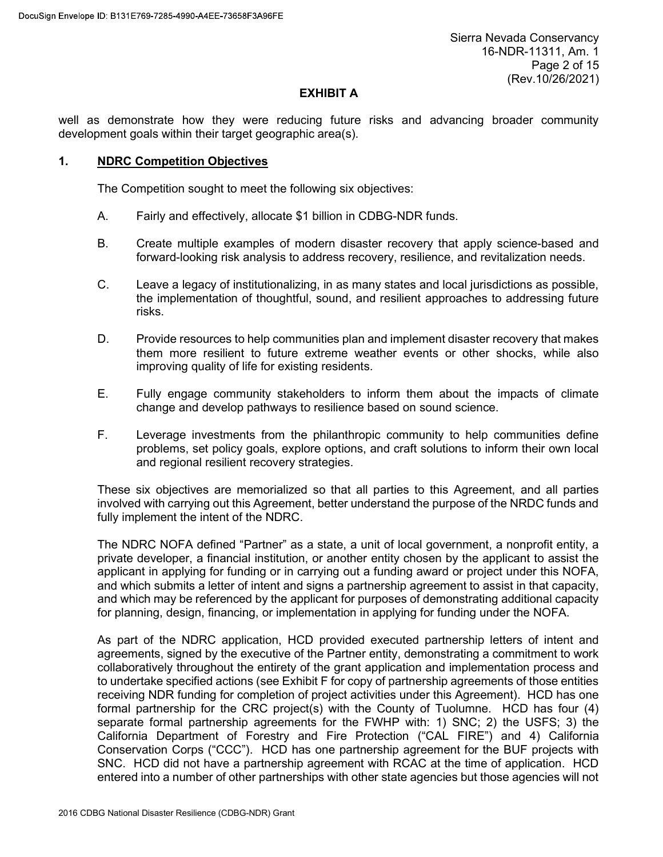well as demonstrate how they were reducing future risks and advancing broader community development goals within their target geographic area(s).

#### 1. NDRC Competition Objectives

The Competition sought to meet the following six objectives:

- A. Fairly and effectively, allocate \$1 billion in CDBG-NDR funds.
- B. Create multiple examples of modern disaster recovery that apply science-based and forward-looking risk analysis to address recovery, resilience, and revitalization needs.
- C. Leave a legacy of institutionalizing, in as many states and local jurisdictions as possible, the implementation of thoughtful, sound, and resilient approaches to addressing future risks.
- D. Provide resources to help communities plan and implement disaster recovery that makes them more resilient to future extreme weather events or other shocks, while also improving quality of life for existing residents.
- E. Fully engage community stakeholders to inform them about the impacts of climate change and develop pathways to resilience based on sound science.
- F. Leverage investments from the philanthropic community to help communities define problems, set policy goals, explore options, and craft solutions to inform their own local and regional resilient recovery strategies.

These six objectives are memorialized so that all parties to this Agreement, and all parties involved with carrying out this Agreement, better understand the purpose of the NRDC funds and fully implement the intent of the NDRC.

The NDRC NOFA defined "Partner" as a state, a unit of local government, a nonprofit entity, a private developer, a financial institution, or another entity chosen by the applicant to assist the applicant in applying for funding or in carrying out a funding award or project under this NOFA, and which submits a letter of intent and signs a partnership agreement to assist in that capacity, and which may be referenced by the applicant for purposes of demonstrating additional capacity for planning, design, financing, or implementation in applying for funding under the NOFA.

As part of the NDRC application, HCD provided executed partnership letters of intent and agreements, signed by the executive of the Partner entity, demonstrating a commitment to work collaboratively throughout the entirety of the grant application and implementation process and to undertake specified actions (see Exhibit F for copy of partnership agreements of those entities receiving NDR funding for completion of project activities under this Agreement). HCD has one formal partnership for the CRC project(s) with the County of Tuolumne. HCD has four (4) separate formal partnership agreements for the FWHP with: 1) SNC; 2) the USFS; 3) the California Department of Forestry and Fire Protection ("CAL FIRE") and 4) California Conservation Corps ("CCC"). HCD has one partnership agreement for the BUF projects with SNC. HCD did not have a partnership agreement with RCAC at the time of application. HCD entered into a number of other partnerships with other state agencies but those agencies will not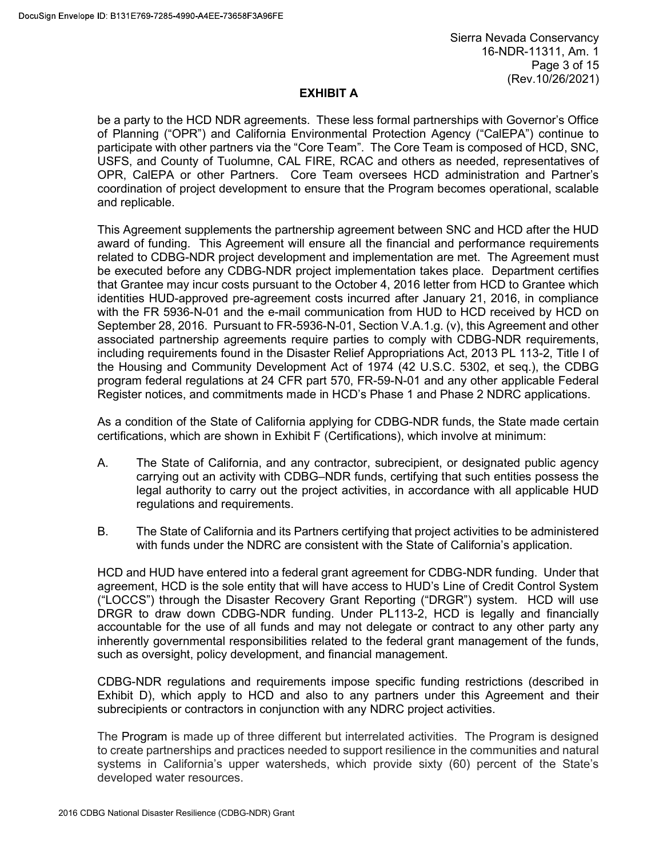Sierra Nevada Conservancy 16-NDR-11311, Am. 1 Page 3 of 15 (Rev.10/26/2021)

## EXHIBIT A

be a party to the HCD NDR agreements. These less formal partnerships with Governor's Office of Planning ("OPR") and California Environmental Protection Agency ("CalEPA") continue to participate with other partners via the "Core Team". The Core Team is composed of HCD, SNC, USFS, and County of Tuolumne, CAL FIRE, RCAC and others as needed, representatives of OPR, CalEPA or other Partners. Core Team oversees HCD administration and Partner's coordination of project development to ensure that the Program becomes operational, scalable and replicable.

This Agreement supplements the partnership agreement between SNC and HCD after the HUD award of funding. This Agreement will ensure all the financial and performance requirements related to CDBG-NDR project development and implementation are met. The Agreement must be executed before any CDBG-NDR project implementation takes place. Department certifies that Grantee may incur costs pursuant to the October 4, 2016 letter from HCD to Grantee which identities HUD-approved pre-agreement costs incurred after January 21, 2016, in compliance with the FR 5936-N-01 and the e-mail communication from HUD to HCD received by HCD on September 28, 2016. Pursuant to FR-5936-N-01, Section V.A.1.g. (v), this Agreement and other associated partnership agreements require parties to comply with CDBG-NDR requirements, including requirements found in the Disaster Relief Appropriations Act, 2013 PL 113-2, Title I of the Housing and Community Development Act of 1974 (42 U.S.C. 5302, et seq.), the CDBG program federal regulations at 24 CFR part 570, FR-59-N-01 and any other applicable Federal Register notices, and commitments made in HCD's Phase 1 and Phase 2 NDRC applications.

As a condition of the State of California applying for CDBG-NDR funds, the State made certain certifications, which are shown in Exhibit F (Certifications), which involve at minimum:

- A. The State of California, and any contractor, subrecipient, or designated public agency carrying out an activity with CDBG–NDR funds, certifying that such entities possess the legal authority to carry out the project activities, in accordance with all applicable HUD regulations and requirements.
- B. The State of California and its Partners certifying that project activities to be administered with funds under the NDRC are consistent with the State of California's application.

HCD and HUD have entered into a federal grant agreement for CDBG-NDR funding. Under that agreement, HCD is the sole entity that will have access to HUD's Line of Credit Control System ("LOCCS") through the Disaster Recovery Grant Reporting ("DRGR") system. HCD will use DRGR to draw down CDBG-NDR funding. Under PL113-2, HCD is legally and financially accountable for the use of all funds and may not delegate or contract to any other party any inherently governmental responsibilities related to the federal grant management of the funds, such as oversight, policy development, and financial management.

CDBG-NDR regulations and requirements impose specific funding restrictions (described in Exhibit D), which apply to HCD and also to any partners under this Agreement and their subrecipients or contractors in conjunction with any NDRC project activities.

The Program is made up of three different but interrelated activities. The Program is designed to create partnerships and practices needed to support resilience in the communities and natural systems in California's upper watersheds, which provide sixty (60) percent of the State's developed water resources.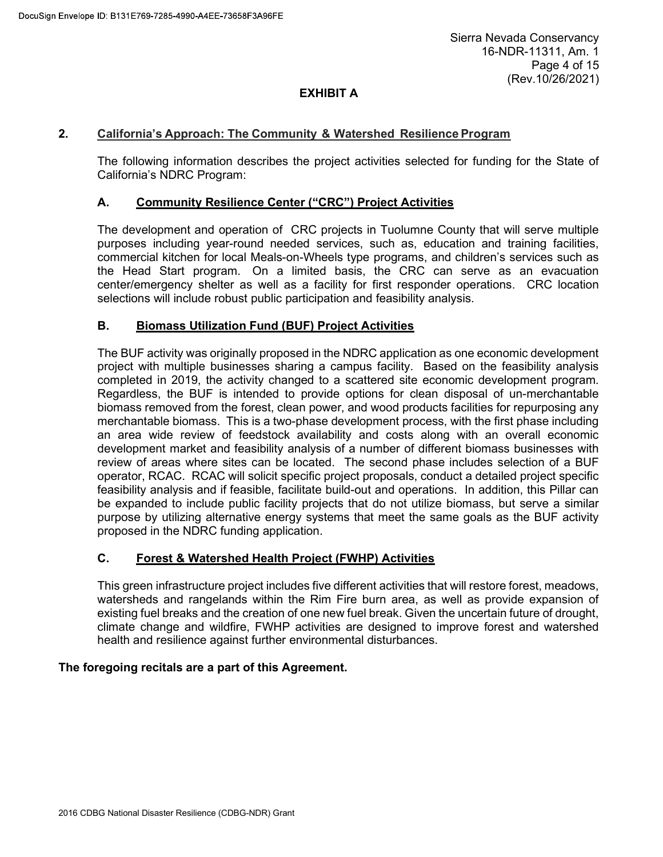## 2. California's Approach: The Community & Watershed Resilience Program

The following information describes the project activities selected for funding for the State of California's NDRC Program:

## A. Community Resilience Center ("CRC") Project Activities

The development and operation of CRC projects in Tuolumne County that will serve multiple purposes including year-round needed services, such as, education and training facilities, commercial kitchen for local Meals-on-Wheels type programs, and children's services such as the Head Start program. On a limited basis, the CRC can serve as an evacuation center/emergency shelter as well as a facility for first responder operations. CRC location selections will include robust public participation and feasibility analysis.

## B. Biomass Utilization Fund (BUF) Project Activities

The BUF activity was originally proposed in the NDRC application as one economic development project with multiple businesses sharing a campus facility. Based on the feasibility analysis completed in 2019, the activity changed to a scattered site economic development program. Regardless, the BUF is intended to provide options for clean disposal of un-merchantable biomass removed from the forest, clean power, and wood products facilities for repurposing any merchantable biomass. This is a two-phase development process, with the first phase including an area wide review of feedstock availability and costs along with an overall economic development market and feasibility analysis of a number of different biomass businesses with review of areas where sites can be located. The second phase includes selection of a BUF operator, RCAC. RCAC will solicit specific project proposals, conduct a detailed project specific feasibility analysis and if feasible, facilitate build-out and operations. In addition, this Pillar can be expanded to include public facility projects that do not utilize biomass, but serve a similar purpose by utilizing alternative energy systems that meet the same goals as the BUF activity proposed in the NDRC funding application.

# C. Forest & Watershed Health Project (FWHP) Activities

This green infrastructure project includes five different activities that will restore forest, meadows, watersheds and rangelands within the Rim Fire burn area, as well as provide expansion of existing fuel breaks and the creation of one new fuel break. Given the uncertain future of drought, climate change and wildfire, FWHP activities are designed to improve forest and watershed health and resilience against further environmental disturbances.

### The foregoing recitals are a part of this Agreement.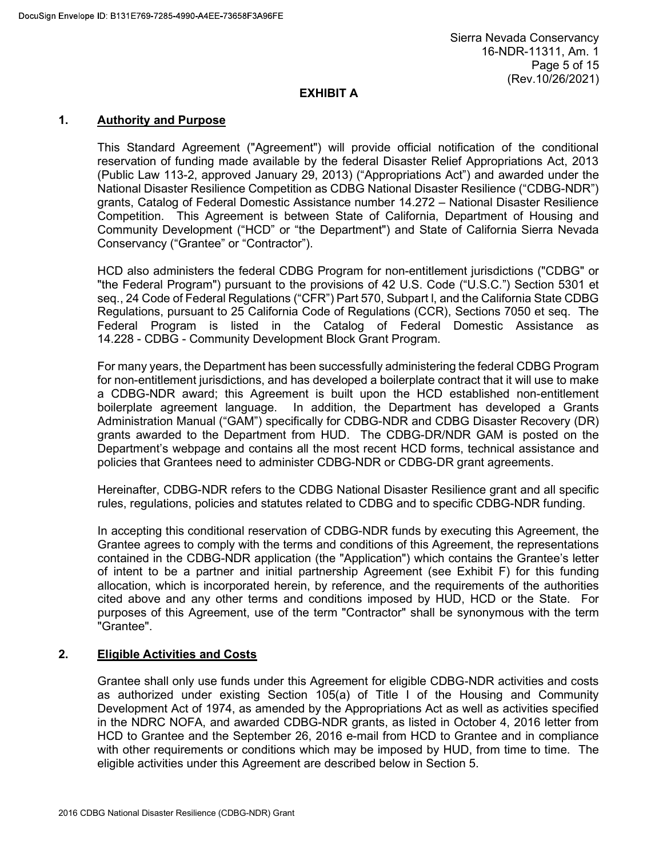Sierra Nevada Conservancy 16-NDR-11311, Am. 1 Page 5 of 15 (Rev.10/26/2021)

## EXHIBIT A

## 1. Authority and Purpose

This Standard Agreement ("Agreement") will provide official notification of the conditional reservation of funding made available by the federal Disaster Relief Appropriations Act, 2013 (Public Law 113-2, approved January 29, 2013) ("Appropriations Act") and awarded under the National Disaster Resilience Competition as CDBG National Disaster Resilience ("CDBG-NDR") grants, Catalog of Federal Domestic Assistance number 14.272 – National Disaster Resilience Competition. This Agreement is between State of California, Department of Housing and Community Development ("HCD" or "the Department") and State of California Sierra Nevada Conservancy ("Grantee" or "Contractor").

HCD also administers the federal CDBG Program for non-entitlement jurisdictions ("CDBG" or "the Federal Program") pursuant to the provisions of 42 U.S. Code ("U.S.C.") Section 5301 et seq., 24 Code of Federal Regulations ("CFR") Part 570, Subpart l, and the California State CDBG Regulations, pursuant to 25 California Code of Regulations (CCR), Sections 7050 et seq. The Federal Program is listed in the Catalog of Federal Domestic Assistance as 14.228 - CDBG - Community Development Block Grant Program.

For many years, the Department has been successfully administering the federal CDBG Program for non-entitlement jurisdictions, and has developed a boilerplate contract that it will use to make a CDBG-NDR award; this Agreement is built upon the HCD established non-entitlement boilerplate agreement language. In addition, the Department has developed a Grants Administration Manual ("GAM") specifically for CDBG-NDR and CDBG Disaster Recovery (DR) grants awarded to the Department from HUD. The CDBG-DR/NDR GAM is posted on the Department's webpage and contains all the most recent HCD forms, technical assistance and policies that Grantees need to administer CDBG-NDR or CDBG-DR grant agreements.

Hereinafter, CDBG-NDR refers to the CDBG National Disaster Resilience grant and all specific rules, regulations, policies and statutes related to CDBG and to specific CDBG-NDR funding.

In accepting this conditional reservation of CDBG-NDR funds by executing this Agreement, the Grantee agrees to comply with the terms and conditions of this Agreement, the representations contained in the CDBG-NDR application (the "Application") which contains the Grantee's letter of intent to be a partner and initial partnership Agreement (see Exhibit F) for this funding allocation, which is incorporated herein, by reference, and the requirements of the authorities cited above and any other terms and conditions imposed by HUD, HCD or the State. For purposes of this Agreement, use of the term "Contractor" shall be synonymous with the term "Grantee".

### 2. Eligible Activities and Costs

Grantee shall only use funds under this Agreement for eligible CDBG-NDR activities and costs as authorized under existing Section 105(a) of Title I of the Housing and Community Development Act of 1974, as amended by the Appropriations Act as well as activities specified in the NDRC NOFA, and awarded CDBG-NDR grants, as listed in October 4, 2016 letter from HCD to Grantee and the September 26, 2016 e-mail from HCD to Grantee and in compliance with other requirements or conditions which may be imposed by HUD, from time to time. The eligible activities under this Agreement are described below in Section 5.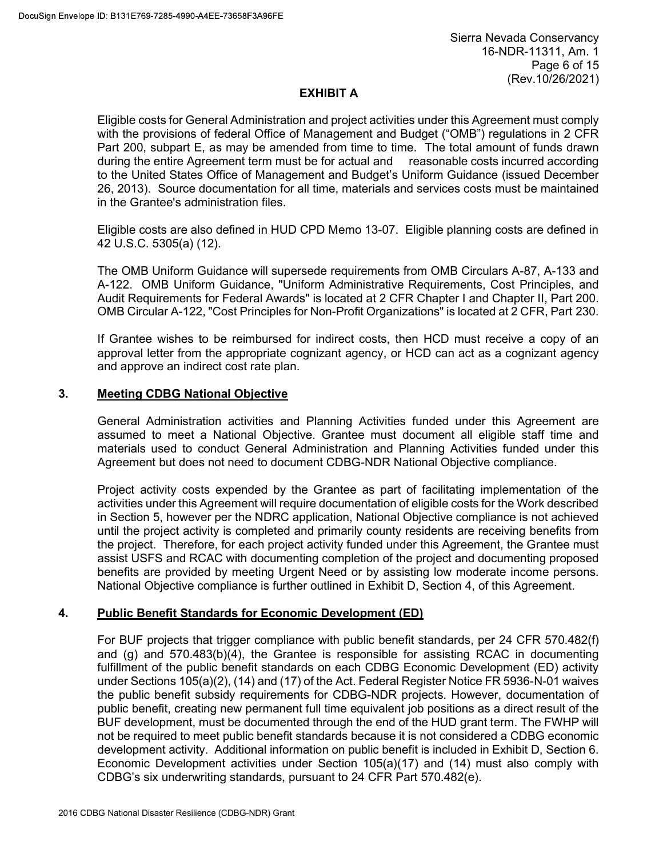Sierra Nevada Conservancy 16-NDR-11311, Am. 1 Page 6 of 15 (Rev.10/26/2021)

# EXHIBIT A

Eligible costs for General Administration and project activities under this Agreement must comply with the provisions of federal Office of Management and Budget ("OMB") regulations in 2 CFR Part 200, subpart E, as may be amended from time to time. The total amount of funds drawn during the entire Agreement term must be for actual and reasonable costs incurred according to the United States Office of Management and Budget's Uniform Guidance (issued December 26, 2013). Source documentation for all time, materials and services costs must be maintained in the Grantee's administration files.

Eligible costs are also defined in HUD CPD Memo 13-07. Eligible planning costs are defined in 42 U.S.C. 5305(a) (12).

The OMB Uniform Guidance will supersede requirements from OMB Circulars A-87, A-133 and A-122. OMB Uniform Guidance, "Uniform Administrative Requirements, Cost Principles, and Audit Requirements for Federal Awards" is located at 2 CFR Chapter I and Chapter II, Part 200. OMB Circular A-122, "Cost Principles for Non-Profit Organizations" is located at 2 CFR, Part 230.

If Grantee wishes to be reimbursed for indirect costs, then HCD must receive a copy of an approval letter from the appropriate cognizant agency, or HCD can act as a cognizant agency and approve an indirect cost rate plan.

#### 3. Meeting CDBG National Objective

General Administration activities and Planning Activities funded under this Agreement are assumed to meet a National Objective. Grantee must document all eligible staff time and materials used to conduct General Administration and Planning Activities funded under this Agreement but does not need to document CDBG-NDR National Objective compliance.

Project activity costs expended by the Grantee as part of facilitating implementation of the activities under this Agreement will require documentation of eligible costs for the Work described in Section 5, however per the NDRC application, National Objective compliance is not achieved until the project activity is completed and primarily county residents are receiving benefits from the project. Therefore, for each project activity funded under this Agreement, the Grantee must assist USFS and RCAC with documenting completion of the project and documenting proposed benefits are provided by meeting Urgent Need or by assisting low moderate income persons. National Objective compliance is further outlined in Exhibit D, Section 4, of this Agreement.

### 4. Public Benefit Standards for Economic Development (ED)

For BUF projects that trigger compliance with public benefit standards, per 24 CFR 570.482(f) and (g) and 570.483(b)(4), the Grantee is responsible for assisting RCAC in documenting fulfillment of the public benefit standards on each CDBG Economic Development (ED) activity under Sections 105(a)(2), (14) and (17) of the Act. Federal Register Notice FR 5936-N-01 waives the public benefit subsidy requirements for CDBG-NDR projects. However, documentation of public benefit, creating new permanent full time equivalent job positions as a direct result of the BUF development, must be documented through the end of the HUD grant term. The FWHP will not be required to meet public benefit standards because it is not considered a CDBG economic development activity. Additional information on public benefit is included in Exhibit D, Section 6. Economic Development activities under Section 105(a)(17) and (14) must also comply with CDBG's six underwriting standards, pursuant to 24 CFR Part 570.482(e).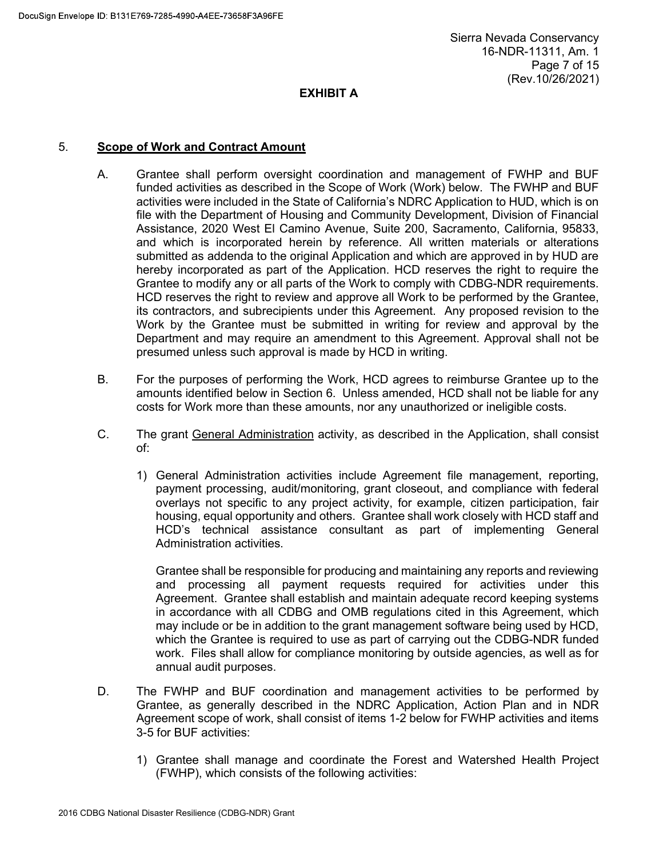Sierra Nevada Conservancy 16-NDR-11311, Am. 1 Page 7 of 15 (Rev.10/26/2021)

# EXHIBIT A

## 5. Scope of Work and Contract Amount

- A. Grantee shall perform oversight coordination and management of FWHP and BUF funded activities as described in the Scope of Work (Work) below. The FWHP and BUF activities were included in the State of California's NDRC Application to HUD, which is on file with the Department of Housing and Community Development, Division of Financial Assistance, 2020 West El Camino Avenue, Suite 200, Sacramento, California, 95833, and which is incorporated herein by reference. All written materials or alterations submitted as addenda to the original Application and which are approved in by HUD are hereby incorporated as part of the Application. HCD reserves the right to require the Grantee to modify any or all parts of the Work to comply with CDBG-NDR requirements. HCD reserves the right to review and approve all Work to be performed by the Grantee, its contractors, and subrecipients under this Agreement. Any proposed revision to the Work by the Grantee must be submitted in writing for review and approval by the Department and may require an amendment to this Agreement. Approval shall not be presumed unless such approval is made by HCD in writing.
- B. For the purposes of performing the Work, HCD agrees to reimburse Grantee up to the amounts identified below in Section 6. Unless amended, HCD shall not be liable for any costs for Work more than these amounts, nor any unauthorized or ineligible costs.
- C. The grant General Administration activity, as described in the Application, shall consist of:
	- 1) General Administration activities include Agreement file management, reporting, payment processing, audit/monitoring, grant closeout, and compliance with federal overlays not specific to any project activity, for example, citizen participation, fair housing, equal opportunity and others. Grantee shall work closely with HCD staff and HCD's technical assistance consultant as part of implementing General Administration activities.

Grantee shall be responsible for producing and maintaining any reports and reviewing and processing all payment requests required for activities under this Agreement. Grantee shall establish and maintain adequate record keeping systems in accordance with all CDBG and OMB regulations cited in this Agreement, which may include or be in addition to the grant management software being used by HCD, which the Grantee is required to use as part of carrying out the CDBG-NDR funded work. Files shall allow for compliance monitoring by outside agencies, as well as for annual audit purposes.

- D. The FWHP and BUF coordination and management activities to be performed by Grantee, as generally described in the NDRC Application, Action Plan and in NDR Agreement scope of work, shall consist of items 1-2 below for FWHP activities and items 3-5 for BUF activities:
	- 1) Grantee shall manage and coordinate the Forest and Watershed Health Project (FWHP), which consists of the following activities: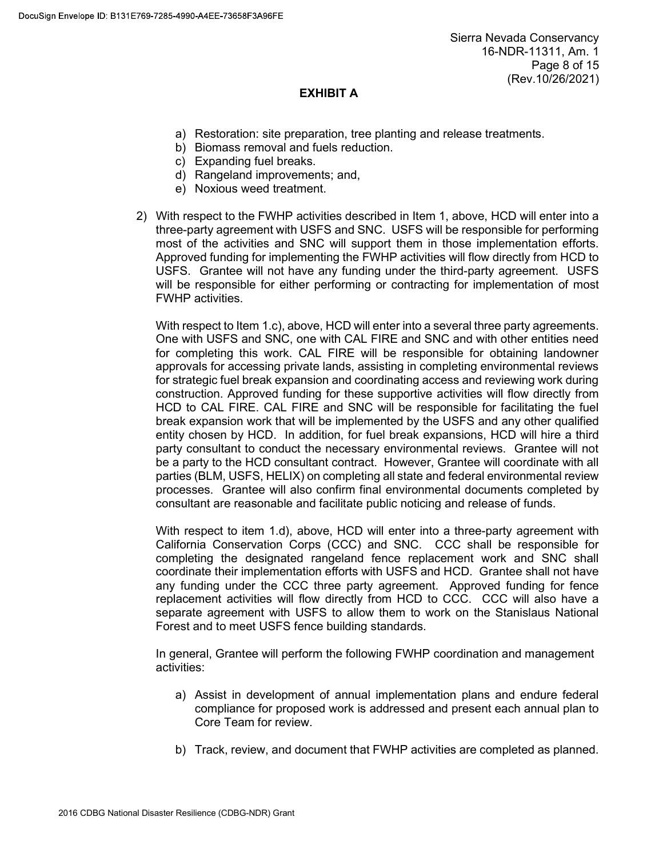Sierra Nevada Conservancy 16-NDR-11311, Am. 1 Page 8 of 15 (Rev.10/26/2021)

# EXHIBIT A

- a) Restoration: site preparation, tree planting and release treatments.
- b) Biomass removal and fuels reduction.
- c) Expanding fuel breaks.
- d) Rangeland improvements; and,
- e) Noxious weed treatment.
- 2) With respect to the FWHP activities described in Item 1, above, HCD will enter into a three-party agreement with USFS and SNC. USFS will be responsible for performing most of the activities and SNC will support them in those implementation efforts. Approved funding for implementing the FWHP activities will flow directly from HCD to USFS. Grantee will not have any funding under the third-party agreement. USFS will be responsible for either performing or contracting for implementation of most FWHP activities.

With respect to Item 1.c), above, HCD will enter into a several three party agreements. One with USFS and SNC, one with CAL FIRE and SNC and with other entities need for completing this work. CAL FIRE will be responsible for obtaining landowner approvals for accessing private lands, assisting in completing environmental reviews for strategic fuel break expansion and coordinating access and reviewing work during construction. Approved funding for these supportive activities will flow directly from HCD to CAL FIRE. CAL FIRE and SNC will be responsible for facilitating the fuel break expansion work that will be implemented by the USFS and any other qualified entity chosen by HCD. In addition, for fuel break expansions, HCD will hire a third party consultant to conduct the necessary environmental reviews. Grantee will not be a party to the HCD consultant contract. However, Grantee will coordinate with all parties (BLM, USFS, HELIX) on completing all state and federal environmental review processes. Grantee will also confirm final environmental documents completed by consultant are reasonable and facilitate public noticing and release of funds.

With respect to item 1.d), above, HCD will enter into a three-party agreement with California Conservation Corps (CCC) and SNC. CCC shall be responsible for completing the designated rangeland fence replacement work and SNC shall coordinate their implementation efforts with USFS and HCD. Grantee shall not have any funding under the CCC three party agreement. Approved funding for fence replacement activities will flow directly from HCD to CCC. CCC will also have a separate agreement with USFS to allow them to work on the Stanislaus National Forest and to meet USFS fence building standards.

In general, Grantee will perform the following FWHP coordination and management activities:

- a) Assist in development of annual implementation plans and endure federal compliance for proposed work is addressed and present each annual plan to Core Team for review.
- b) Track, review, and document that FWHP activities are completed as planned.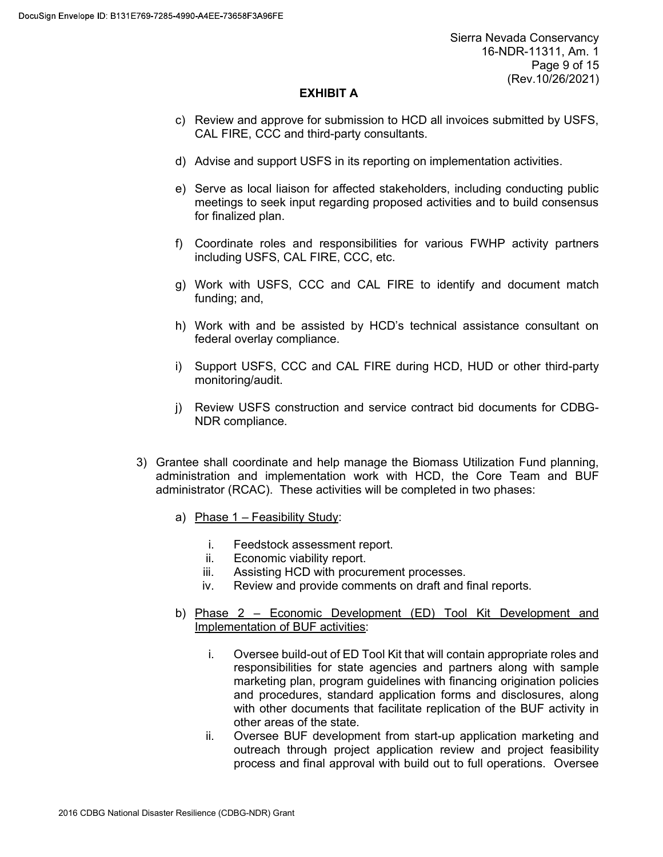- c) Review and approve for submission to HCD all invoices submitted by USFS, CAL FIRE, CCC and third-party consultants.
- d) Advise and support USFS in its reporting on implementation activities.
- e) Serve as local liaison for affected stakeholders, including conducting public meetings to seek input regarding proposed activities and to build consensus for finalized plan.
- f) Coordinate roles and responsibilities for various FWHP activity partners including USFS, CAL FIRE, CCC, etc.
- g) Work with USFS, CCC and CAL FIRE to identify and document match funding; and,
- h) Work with and be assisted by HCD's technical assistance consultant on federal overlay compliance.
- i) Support USFS, CCC and CAL FIRE during HCD, HUD or other third-party monitoring/audit.
- j) Review USFS construction and service contract bid documents for CDBG-NDR compliance.
- 3) Grantee shall coordinate and help manage the Biomass Utilization Fund planning, administration and implementation work with HCD, the Core Team and BUF administrator (RCAC). These activities will be completed in two phases:
	- a) Phase 1 Feasibility Study:
		- i. Feedstock assessment report.
		- ii. Economic viability report.
		- iii. Assisting HCD with procurement processes.
		- iv. Review and provide comments on draft and final reports.
	- b) Phase 2 Economic Development (ED) Tool Kit Development and Implementation of BUF activities:
		- i. Oversee build-out of ED Tool Kit that will contain appropriate roles and responsibilities for state agencies and partners along with sample marketing plan, program guidelines with financing origination policies and procedures, standard application forms and disclosures, along with other documents that facilitate replication of the BUF activity in other areas of the state.
		- ii. Oversee BUF development from start-up application marketing and outreach through project application review and project feasibility process and final approval with build out to full operations. Oversee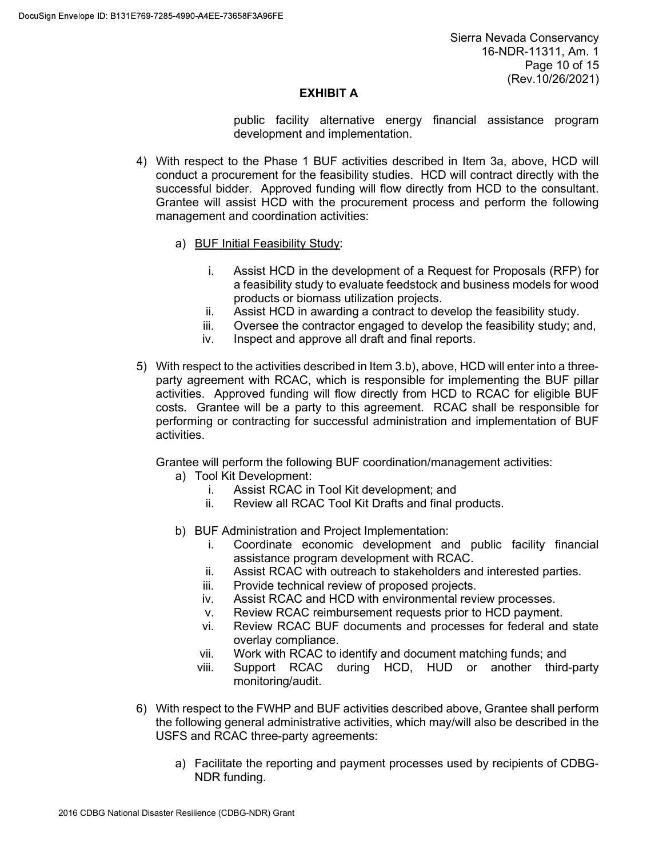public facility alternative energy financial assistance program development and implementation.

- 4) With respect to the Phase 1 BUF activities described in Item 3a, above, HCD will conduct a procurement for the feasibility studies. HCD will contract directly with the successful bidder. Approved funding will flow directly from HCD to the consultant. Grantee will assist HCD with the procurement process and perform the following management and coordination activities:
	- a) BUF Initial Feasibility Study:
		- i. Assist HCD in the development of a Request for Proposals (RFP) for a feasibility study to evaluate feedstock and business models for wood products or biomass utilization projects.
		- ii. Assist HCD in awarding a contract to develop the feasibility study.
		- iii. Oversee the contractor engaged to develop the feasibility study; and,
		- iv. Inspect and approve all draft and final reports.
- 5) With respect to the activities described in Item 3.b), above, HCD will enter into a threeparty agreement with RCAC, which is responsible for implementing the BUF pillar activities. Approved funding will flow directly from HCD to RCAC for eligible BUF costs. Grantee will be a party to this agreement. RCAC shall be responsible for performing or contracting for successful administration and implementation of BUF activities.

Grantee will perform the following BUF coordination/management activities:

- a) Tool Kit Development:
	- i. Assist RCAC in Tool Kit development; and
	- ii. Review all RCAC Tool Kit Drafts and final products.
- b) BUF Administration and Project Implementation:
	- i. Coordinate economic development and public facility financial assistance program development with RCAC.
	- ii. Assist RCAC with outreach to stakeholders and interested parties.
	- iii. Provide technical review of proposed projects.
	- iv. Assist RCAC and HCD with environmental review processes.
	- v. Review RCAC reimbursement requests prior to HCD payment.
	- vi. Review RCAC BUF documents and processes for federal and state overlay compliance.
	- vii. Work with RCAC to identify and document matching funds; and
	- viii. Support RCAC during HCD, HUD or another third-party monitoring/audit.
- 6) With respect to the FWHP and BUF activities described above, Grantee shall perform the following general administrative activities, which may/will also be described in the USFS and RCAC three-party agreements:
	- a) Facilitate the reporting and payment processes used by recipients of CDBG-NDR funding.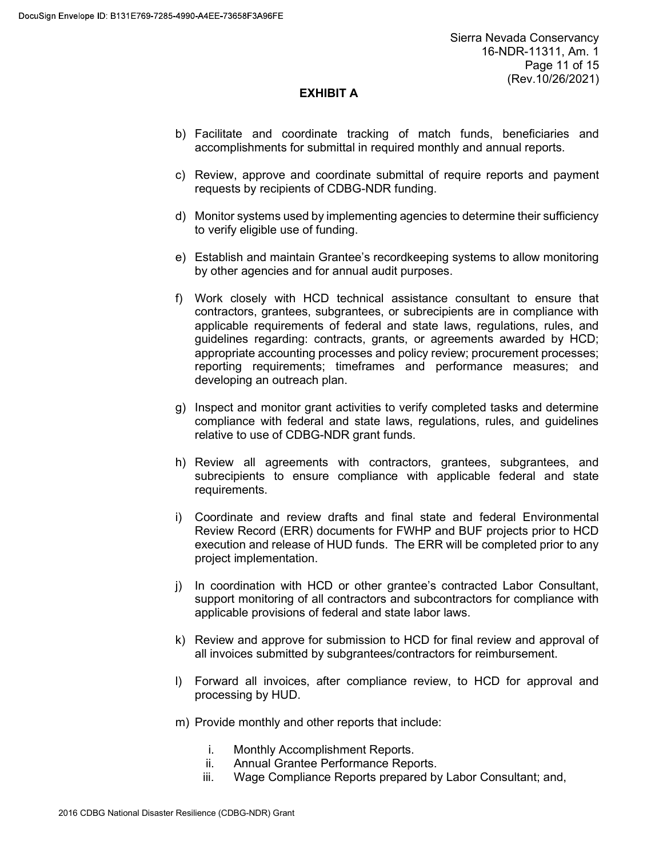- b) Facilitate and coordinate tracking of match funds, beneficiaries and accomplishments for submittal in required monthly and annual reports.
- c) Review, approve and coordinate submittal of require reports and payment requests by recipients of CDBG-NDR funding.
- d) Monitor systems used by implementing agencies to determine their sufficiency to verify eligible use of funding.
- e) Establish and maintain Grantee's recordkeeping systems to allow monitoring by other agencies and for annual audit purposes.
- f) Work closely with HCD technical assistance consultant to ensure that contractors, grantees, subgrantees, or subrecipients are in compliance with applicable requirements of federal and state laws, regulations, rules, and guidelines regarding: contracts, grants, or agreements awarded by HCD; appropriate accounting processes and policy review; procurement processes; reporting requirements; timeframes and performance measures; and developing an outreach plan.
- g) Inspect and monitor grant activities to verify completed tasks and determine compliance with federal and state laws, regulations, rules, and guidelines relative to use of CDBG-NDR grant funds.
- h) Review all agreements with contractors, grantees, subgrantees, and subrecipients to ensure compliance with applicable federal and state requirements.
- i) Coordinate and review drafts and final state and federal Environmental Review Record (ERR) documents for FWHP and BUF projects prior to HCD execution and release of HUD funds. The ERR will be completed prior to any project implementation.
- j) In coordination with HCD or other grantee's contracted Labor Consultant, support monitoring of all contractors and subcontractors for compliance with applicable provisions of federal and state labor laws.
- k) Review and approve for submission to HCD for final review and approval of all invoices submitted by subgrantees/contractors for reimbursement.
- l) Forward all invoices, after compliance review, to HCD for approval and processing by HUD.
- m) Provide monthly and other reports that include:
	- i. Monthly Accomplishment Reports.
	- ii. Annual Grantee Performance Reports.
	- iii. Wage Compliance Reports prepared by Labor Consultant; and,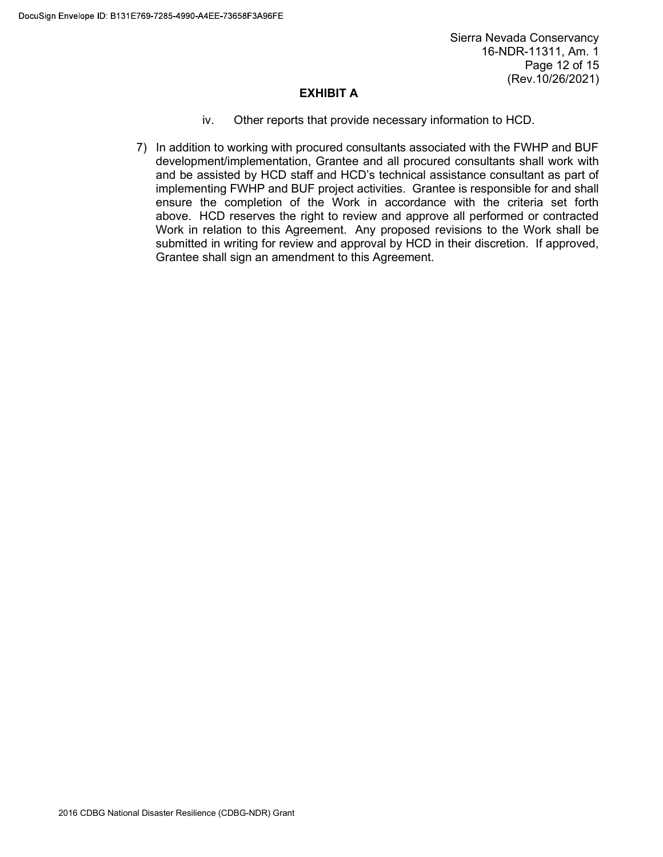Sierra Nevada Conservancy 16-NDR-11311, Am. 1 Page 12 of 15 (Rev.10/26/2021)

# EXHIBIT A

- iv. Other reports that provide necessary information to HCD.
- 7) In addition to working with procured consultants associated with the FWHP and BUF development/implementation, Grantee and all procured consultants shall work with and be assisted by HCD staff and HCD's technical assistance consultant as part of implementing FWHP and BUF project activities. Grantee is responsible for and shall ensure the completion of the Work in accordance with the criteria set forth above. HCD reserves the right to review and approve all performed or contracted Work in relation to this Agreement. Any proposed revisions to the Work shall be submitted in writing for review and approval by HCD in their discretion. If approved, Grantee shall sign an amendment to this Agreement.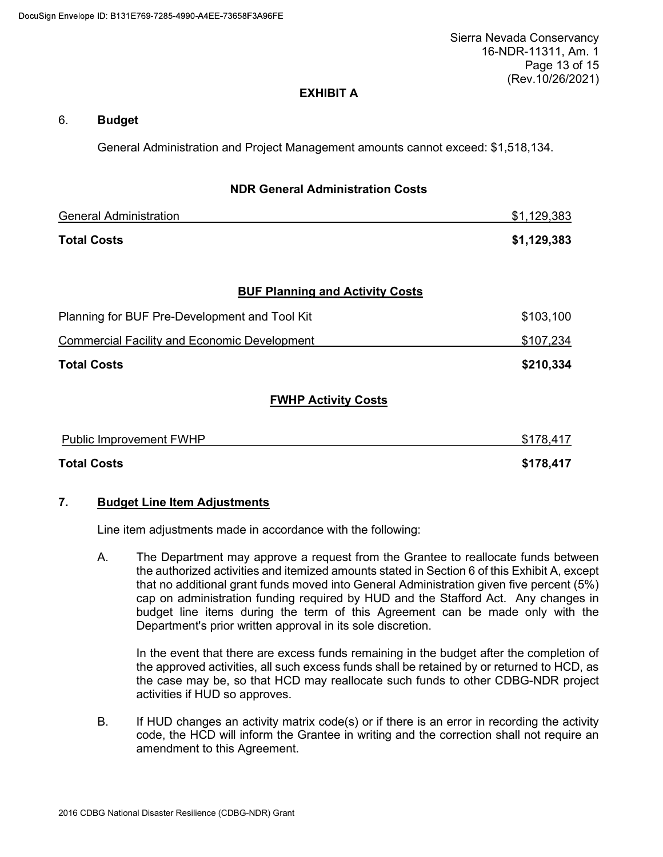#### 6. Budget

General Administration and Project Management amounts cannot exceed: \$1,518,134.

#### NDR General Administration Costs

| <b>General Administration</b> | \$1,129,383 |
|-------------------------------|-------------|
| <b>Total Costs</b>            | \$1,129,383 |
|                               |             |

### BUF Planning and Activity Costs

| <b>Total Costs</b>                                  | \$210,334 |
|-----------------------------------------------------|-----------|
| <b>Commercial Facility and Economic Development</b> | \$107,234 |
| Planning for BUF Pre-Development and Tool Kit       | \$103,100 |

#### FWHP Activity Costs

| <b>Public Improvement FWHP</b> | \$178,417 |
|--------------------------------|-----------|
| <b>Total Costs</b>             | \$178,417 |

#### 7. Budget Line Item Adjustments

Line item adjustments made in accordance with the following:

A. The Department may approve a request from the Grantee to reallocate funds between the authorized activities and itemized amounts stated in Section 6 of this Exhibit A, except that no additional grant funds moved into General Administration given five percent (5%) cap on administration funding required by HUD and the Stafford Act. Any changes in budget line items during the term of this Agreement can be made only with the Department's prior written approval in its sole discretion.

In the event that there are excess funds remaining in the budget after the completion of the approved activities, all such excess funds shall be retained by or returned to HCD, as the case may be, so that HCD may reallocate such funds to other CDBG-NDR project activities if HUD so approves.

B. If HUD changes an activity matrix code(s) or if there is an error in recording the activity code, the HCD will inform the Grantee in writing and the correction shall not require an amendment to this Agreement.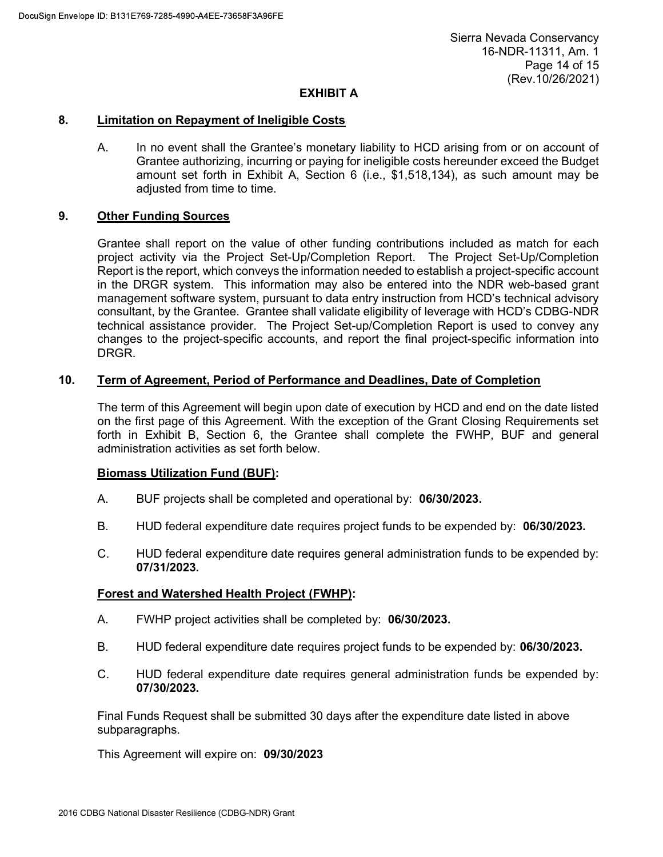#### 8. Limitation on Repayment of Ineligible Costs

A. In no event shall the Grantee's monetary liability to HCD arising from or on account of Grantee authorizing, incurring or paying for ineligible costs hereunder exceed the Budget amount set forth in Exhibit A, Section 6 (i.e., \$1,518,134), as such amount may be adjusted from time to time.

#### 9. Other Funding Sources

Grantee shall report on the value of other funding contributions included as match for each project activity via the Project Set-Up/Completion Report. The Project Set-Up/Completion Report is the report, which conveys the information needed to establish a project-specific account in the DRGR system. This information may also be entered into the NDR web-based grant management software system, pursuant to data entry instruction from HCD's technical advisory consultant, by the Grantee. Grantee shall validate eligibility of leverage with HCD's CDBG-NDR technical assistance provider. The Project Set-up/Completion Report is used to convey any changes to the project-specific accounts, and report the final project-specific information into DRGR.

#### 10. Term of Agreement, Period of Performance and Deadlines, Date of Completion

The term of this Agreement will begin upon date of execution by HCD and end on the date listed on the first page of this Agreement. With the exception of the Grant Closing Requirements set forth in Exhibit B, Section 6, the Grantee shall complete the FWHP, BUF and general administration activities as set forth below.

#### Biomass Utilization Fund (BUF):

- A. BUF projects shall be completed and operational by: 06/30/2023.
- B. HUD federal expenditure date requires project funds to be expended by: 06/30/2023.
- C. HUD federal expenditure date requires general administration funds to be expended by: 07/31/2023.

### Forest and Watershed Health Project (FWHP):

- A. FWHP project activities shall be completed by: 06/30/2023.
- B. HUD federal expenditure date requires project funds to be expended by: 06/30/2023.
- C. HUD federal expenditure date requires general administration funds be expended by: 07/30/2023.

Final Funds Request shall be submitted 30 days after the expenditure date listed in above subparagraphs.

This Agreement will expire on: 09/30/2023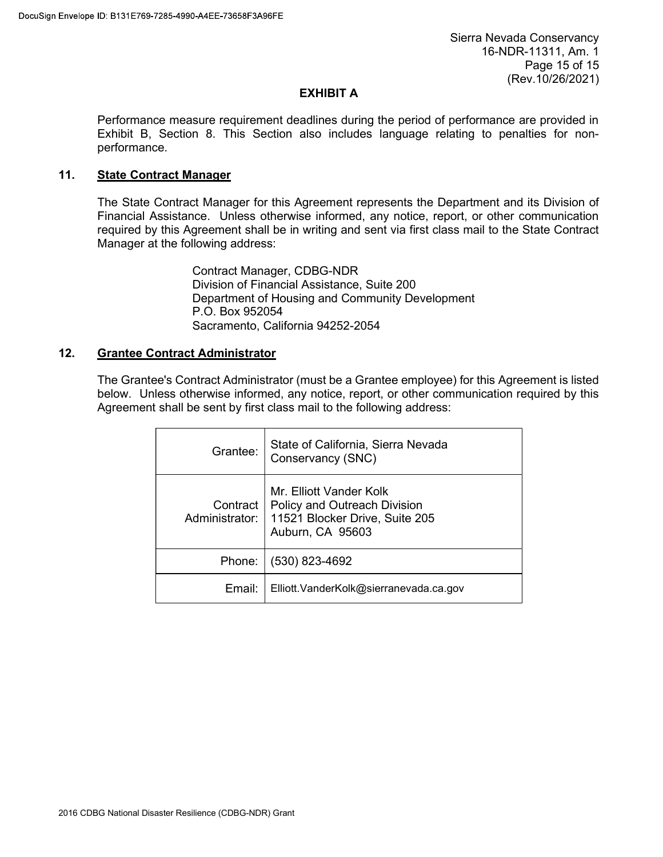Sierra Nevada Conservancy 16-NDR-11311, Am. 1 Page 15 of 15 (Rev.10/26/2021)

## EXHIBIT A

Performance measure requirement deadlines during the period of performance are provided in Exhibit B, Section 8. This Section also includes language relating to penalties for nonperformance.

#### 11. State Contract Manager

The State Contract Manager for this Agreement represents the Department and its Division of Financial Assistance. Unless otherwise informed, any notice, report, or other communication required by this Agreement shall be in writing and sent via first class mail to the State Contract Manager at the following address:

> Contract Manager, CDBG-NDR Division of Financial Assistance, Suite 200 Department of Housing and Community Development P.O. Box 952054 Sacramento, California 94252-2054

#### 12. Grantee Contract Administrator

The Grantee's Contract Administrator (must be a Grantee employee) for this Agreement is listed below. Unless otherwise informed, any notice, report, or other communication required by this Agreement shall be sent by first class mail to the following address:

| Grantee:                     | State of California, Sierra Nevada<br>Conservancy (SNC)                                                       |
|------------------------------|---------------------------------------------------------------------------------------------------------------|
| Contract  <br>Administrator: | Mr. Elliott Vander Kolk<br>Policy and Outreach Division<br>11521 Blocker Drive, Suite 205<br>Auburn, CA 95603 |
| Phone:                       | (530) 823-4692                                                                                                |
| Email:                       | Elliott. VanderKolk@sierranevada.ca.gov                                                                       |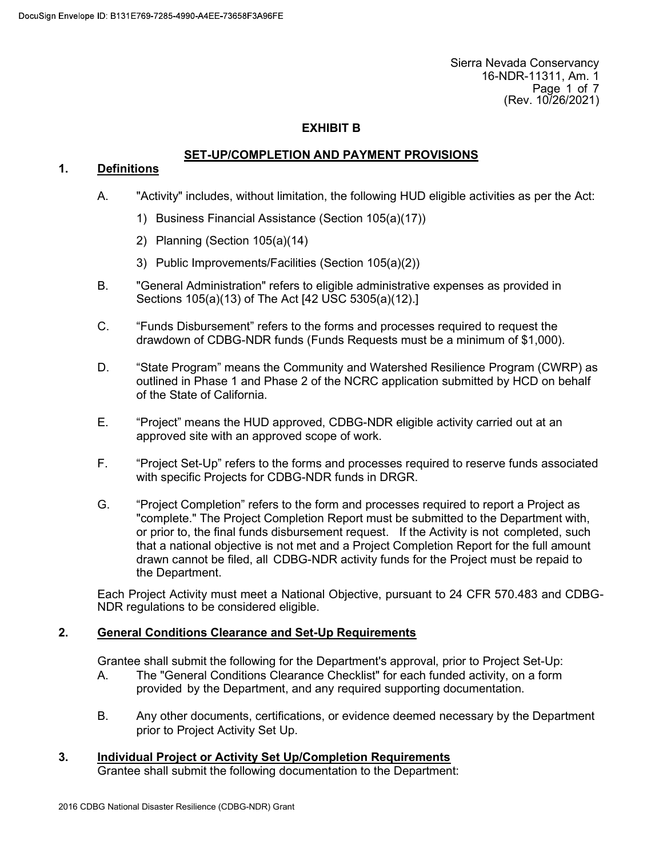Sierra Nevada Conservancy 16-NDR-11311, Am. 1 Page 1 of 7 (Rev. 10/26/2021)

## EXHIBIT B

### SET-UP/COMPLETION AND PAYMENT PROVISIONS

#### 1. Definitions

- A. "Activity" includes, without limitation, the following HUD eligible activities as per the Act:
	- 1) Business Financial Assistance (Section 105(a)(17))
	- 2) Planning (Section 105(a)(14)
	- 3) Public Improvements/Facilities (Section 105(a)(2))
- B. "General Administration" refers to eligible administrative expenses as provided in Sections 105(a)(13) of The Act [42 USC 5305(a)(12).]
- C. "Funds Disbursement" refers to the forms and processes required to request the drawdown of CDBG-NDR funds (Funds Requests must be a minimum of \$1,000).
- D. "State Program" means the Community and Watershed Resilience Program (CWRP) as outlined in Phase 1 and Phase 2 of the NCRC application submitted by HCD on behalf of the State of California.
- E. "Project" means the HUD approved, CDBG-NDR eligible activity carried out at an approved site with an approved scope of work.
- F. "Project Set-Up" refers to the forms and processes required to reserve funds associated with specific Projects for CDBG-NDR funds in DRGR.
- G. "Project Completion" refers to the form and processes required to report a Project as "complete." The Project Completion Report must be submitted to the Department with, or prior to, the final funds disbursement request. If the Activity is not completed, such that a national objective is not met and a Project Completion Report for the full amount drawn cannot be filed, all CDBG-NDR activity funds for the Project must be repaid to the Department.

Each Project Activity must meet a National Objective, pursuant to 24 CFR 570.483 and CDBG-NDR regulations to be considered eligible.

### 2. General Conditions Clearance and Set-Up Requirements

Grantee shall submit the following for the Department's approval, prior to Project Set-Up:

- A. The "General Conditions Clearance Checklist" for each funded activity, on a form provided by the Department, and any required supporting documentation.
- B. Any other documents, certifications, or evidence deemed necessary by the Department prior to Project Activity Set Up.

#### 3. Individual Project or Activity Set Up/Completion Requirements Grantee shall submit the following documentation to the Department: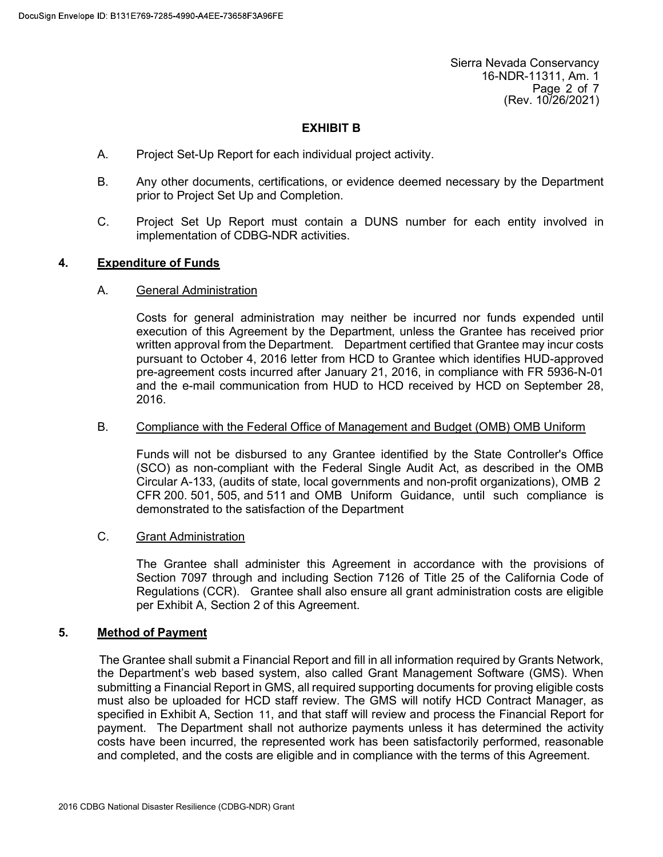Sierra Nevada Conservancy 16-NDR-11311, Am. 1 Page 2 of 7 (Rev. 10/26/2021)

## EXHIBIT B

- A. Project Set-Up Report for each individual project activity.
- B. Any other documents, certifications, or evidence deemed necessary by the Department prior to Project Set Up and Completion.
- C. Project Set Up Report must contain a DUNS number for each entity involved in implementation of CDBG-NDR activities.

#### 4. Expenditure of Funds

#### A. General Administration

Costs for general administration may neither be incurred nor funds expended until execution of this Agreement by the Department, unless the Grantee has received prior written approval from the Department. Department certified that Grantee may incur costs pursuant to October 4, 2016 letter from HCD to Grantee which identifies HUD-approved pre-agreement costs incurred after January 21, 2016, in compliance with FR 5936-N-01 and the e-mail communication from HUD to HCD received by HCD on September 28, 2016.

#### B. Compliance with the Federal Office of Management and Budget (OMB) OMB Uniform

Funds will not be disbursed to any Grantee identified by the State Controller's Office (SCO) as non-compliant with the Federal Single Audit Act, as described in the OMB Circular A-133, (audits of state, local governments and non-profit organizations), OMB 2 CFR 200. 501, 505, and 511 and OMB Uniform Guidance, until such compliance is demonstrated to the satisfaction of the Department

#### C. Grant Administration

The Grantee shall administer this Agreement in accordance with the provisions of Section 7097 through and including Section 7126 of Title 25 of the California Code of Regulations (CCR). Grantee shall also ensure all grant administration costs are eligible per Exhibit A, Section 2 of this Agreement.

### 5. Method of Payment

 The Grantee shall submit a Financial Report and fill in all information required by Grants Network, the Department's web based system, also called Grant Management Software (GMS). When submitting a Financial Report in GMS, all required supporting documents for proving eligible costs must also be uploaded for HCD staff review. The GMS will notify HCD Contract Manager, as specified in Exhibit A, Section 11, and that staff will review and process the Financial Report for payment. The Department shall not authorize payments unless it has determined the activity costs have been incurred, the represented work has been satisfactorily performed, reasonable and completed, and the costs are eligible and in compliance with the terms of this Agreement.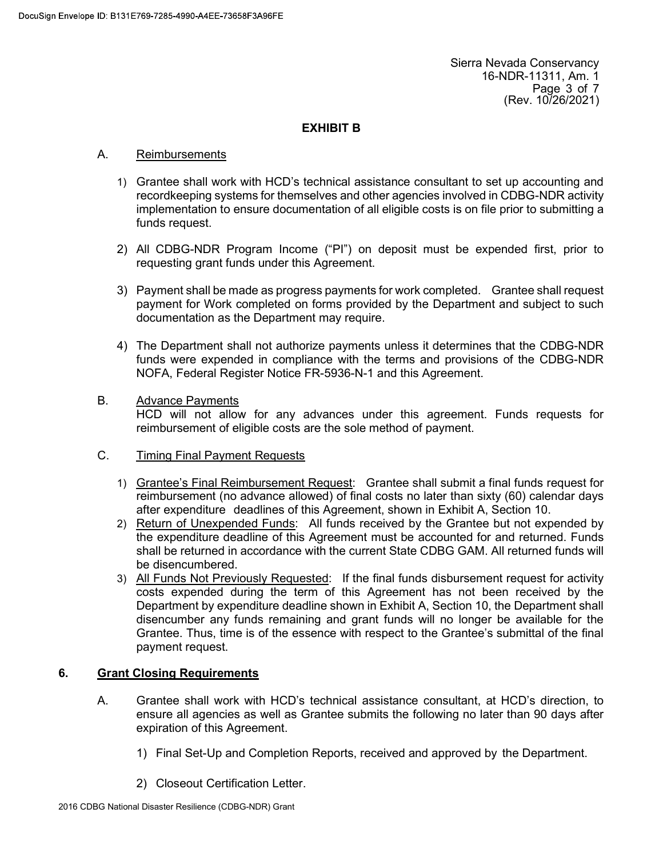Sierra Nevada Conservancy 16-NDR-11311, Am. 1 Page 3 of 7 (Rev. 10/26/2021)

# EXHIBIT B

## A. Reimbursements

- 1) Grantee shall work with HCD's technical assistance consultant to set up accounting and recordkeeping systems for themselves and other agencies involved in CDBG-NDR activity implementation to ensure documentation of all eligible costs is on file prior to submitting a funds request.
- 2) All CDBG-NDR Program Income ("PI") on deposit must be expended first, prior to requesting grant funds under this Agreement.
- 3) Payment shall be made as progress payments for work completed. Grantee shall request payment for Work completed on forms provided by the Department and subject to such documentation as the Department may require.
- 4) The Department shall not authorize payments unless it determines that the CDBG-NDR funds were expended in compliance with the terms and provisions of the CDBG-NDR NOFA, Federal Register Notice FR-5936-N-1 and this Agreement.
- B. Advance Payments HCD will not allow for any advances under this agreement. Funds requests for reimbursement of eligible costs are the sole method of payment.
- C. Timing Final Payment Requests
	- 1) Grantee's Final Reimbursement Request: Grantee shall submit a final funds request for reimbursement (no advance allowed) of final costs no later than sixty (60) calendar days after expenditure deadlines of this Agreement, shown in Exhibit A, Section 10.
	- 2) Return of Unexpended Funds: All funds received by the Grantee but not expended by the expenditure deadline of this Agreement must be accounted for and returned. Funds shall be returned in accordance with the current State CDBG GAM. All returned funds will be disencumbered.
	- 3) All Funds Not Previously Requested: If the final funds disbursement request for activity costs expended during the term of this Agreement has not been received by the Department by expenditure deadline shown in Exhibit A, Section 10, the Department shall disencumber any funds remaining and grant funds will no longer be available for the Grantee. Thus, time is of the essence with respect to the Grantee's submittal of the final payment request.

# 6. Grant Closing Requirements

- A. Grantee shall work with HCD's technical assistance consultant, at HCD's direction, to ensure all agencies as well as Grantee submits the following no later than 90 days after expiration of this Agreement.
	- 1) Final Set-Up and Completion Reports, received and approved by the Department.
	- 2) Closeout Certification Letter.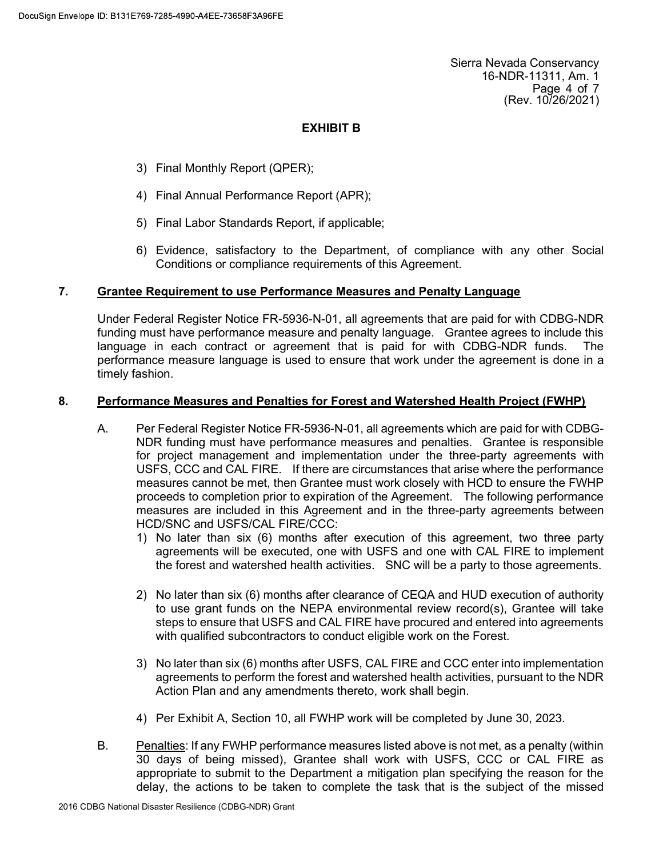Sierra Nevada Conservancy 16-NDR-11311, Am. 1 Page 4 of 7 (Rev. 10/26/2021)

# EXHIBIT B

- 3) Final Monthly Report (QPER);
- 4) Final Annual Performance Report (APR);
- 5) Final Labor Standards Report, if applicable;
- 6) Evidence, satisfactory to the Department, of compliance with any other Social Conditions or compliance requirements of this Agreement.

### 7. Grantee Requirement to use Performance Measures and Penalty Language

Under Federal Register Notice FR-5936-N-01, all agreements that are paid for with CDBG-NDR funding must have performance measure and penalty language. Grantee agrees to include this language in each contract or agreement that is paid for with CDBG-NDR funds. The performance measure language is used to ensure that work under the agreement is done in a timely fashion.

### 8. Performance Measures and Penalties for Forest and Watershed Health Project (FWHP)

- A. Per Federal Register Notice FR-5936-N-01, all agreements which are paid for with CDBG-NDR funding must have performance measures and penalties. Grantee is responsible for project management and implementation under the three-party agreements with USFS, CCC and CAL FIRE. If there are circumstances that arise where the performance measures cannot be met, then Grantee must work closely with HCD to ensure the FWHP proceeds to completion prior to expiration of the Agreement. The following performance measures are included in this Agreement and in the three-party agreements between HCD/SNC and USFS/CAL FIRE/CCC:
	- 1) No later than six (6) months after execution of this agreement, two three party agreements will be executed, one with USFS and one with CAL FIRE to implement the forest and watershed health activities. SNC will be a party to those agreements.
	- 2) No later than six (6) months after clearance of CEQA and HUD execution of authority to use grant funds on the NEPA environmental review record(s), Grantee will take steps to ensure that USFS and CAL FIRE have procured and entered into agreements with qualified subcontractors to conduct eligible work on the Forest.
	- 3) No later than six (6) months after USFS, CAL FIRE and CCC enter into implementation agreements to perform the forest and watershed health activities, pursuant to the NDR Action Plan and any amendments thereto, work shall begin.
	- 4) Per Exhibit A, Section 10, all FWHP work will be completed by June 30, 2023.
- B. Penalties: If any FWHP performance measures listed above is not met, as a penalty (within 30 days of being missed), Grantee shall work with USFS, CCC or CAL FIRE as appropriate to submit to the Department a mitigation plan specifying the reason for the delay, the actions to be taken to complete the task that is the subject of the missed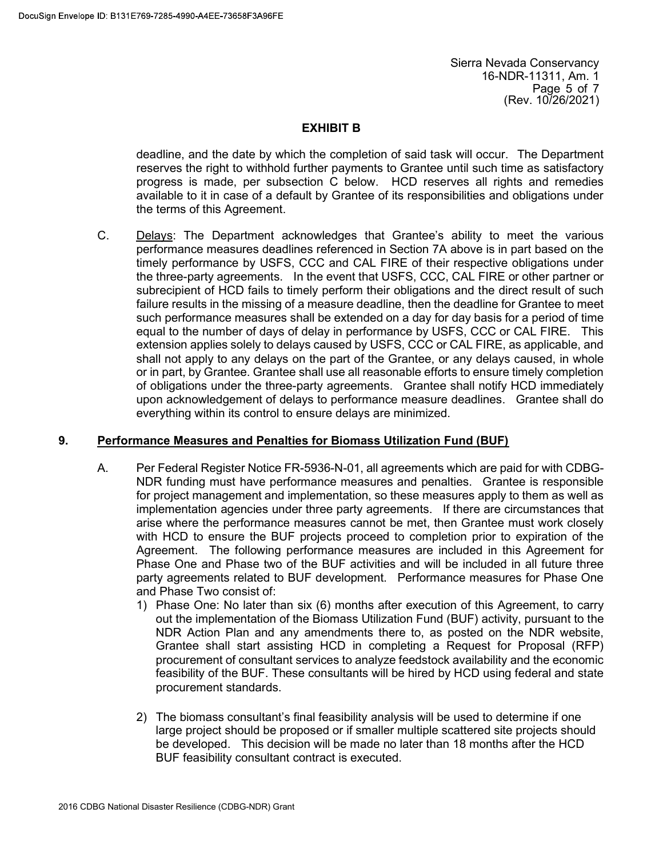Sierra Nevada Conservancy 16-NDR-11311, Am. 1 Page 5 of 7 (Rev. 10/26/2021)

## EXHIBIT B

deadline, and the date by which the completion of said task will occur. The Department reserves the right to withhold further payments to Grantee until such time as satisfactory progress is made, per subsection C below. HCD reserves all rights and remedies available to it in case of a default by Grantee of its responsibilities and obligations under the terms of this Agreement.

C. Delays: The Department acknowledges that Grantee's ability to meet the various performance measures deadlines referenced in Section 7A above is in part based on the timely performance by USFS, CCC and CAL FIRE of their respective obligations under the three-party agreements. In the event that USFS, CCC, CAL FIRE or other partner or subrecipient of HCD fails to timely perform their obligations and the direct result of such failure results in the missing of a measure deadline, then the deadline for Grantee to meet such performance measures shall be extended on a day for day basis for a period of time equal to the number of days of delay in performance by USFS, CCC or CAL FIRE. This extension applies solely to delays caused by USFS, CCC or CAL FIRE, as applicable, and shall not apply to any delays on the part of the Grantee, or any delays caused, in whole or in part, by Grantee. Grantee shall use all reasonable efforts to ensure timely completion of obligations under the three-party agreements. Grantee shall notify HCD immediately upon acknowledgement of delays to performance measure deadlines. Grantee shall do everything within its control to ensure delays are minimized.

### 9. Performance Measures and Penalties for Biomass Utilization Fund (BUF)

- A. Per Federal Register Notice FR-5936-N-01, all agreements which are paid for with CDBG-NDR funding must have performance measures and penalties. Grantee is responsible for project management and implementation, so these measures apply to them as well as implementation agencies under three party agreements. If there are circumstances that arise where the performance measures cannot be met, then Grantee must work closely with HCD to ensure the BUF projects proceed to completion prior to expiration of the Agreement. The following performance measures are included in this Agreement for Phase One and Phase two of the BUF activities and will be included in all future three party agreements related to BUF development. Performance measures for Phase One and Phase Two consist of:
	- 1) Phase One: No later than six (6) months after execution of this Agreement, to carry out the implementation of the Biomass Utilization Fund (BUF) activity, pursuant to the NDR Action Plan and any amendments there to, as posted on the NDR website, Grantee shall start assisting HCD in completing a Request for Proposal (RFP) procurement of consultant services to analyze feedstock availability and the economic feasibility of the BUF. These consultants will be hired by HCD using federal and state procurement standards.
	- 2) The biomass consultant's final feasibility analysis will be used to determine if one large project should be proposed or if smaller multiple scattered site projects should be developed. This decision will be made no later than 18 months after the HCD BUF feasibility consultant contract is executed.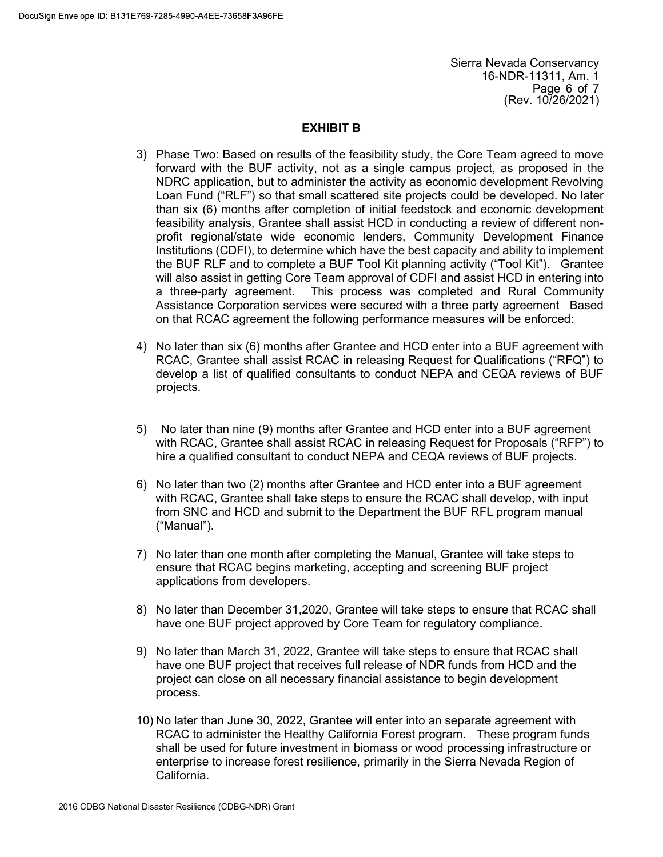Sierra Nevada Conservancy 16-NDR-11311, Am. 1 Page 6 of 7 (Rev. 10/26/2021)

## EXHIBIT B

- 3) Phase Two: Based on results of the feasibility study, the Core Team agreed to move forward with the BUF activity, not as a single campus project, as proposed in the NDRC application, but to administer the activity as economic development Revolving Loan Fund ("RLF") so that small scattered site projects could be developed. No later than six (6) months after completion of initial feedstock and economic development feasibility analysis, Grantee shall assist HCD in conducting a review of different nonprofit regional/state wide economic lenders, Community Development Finance Institutions (CDFI), to determine which have the best capacity and ability to implement the BUF RLF and to complete a BUF Tool Kit planning activity ("Tool Kit"). Grantee will also assist in getting Core Team approval of CDFI and assist HCD in entering into a three-party agreement. This process was completed and Rural Community Assistance Corporation services were secured with a three party agreement Based on that RCAC agreement the following performance measures will be enforced:
- 4) No later than six (6) months after Grantee and HCD enter into a BUF agreement with RCAC, Grantee shall assist RCAC in releasing Request for Qualifications ("RFQ") to develop a list of qualified consultants to conduct NEPA and CEQA reviews of BUF projects.
- 5) No later than nine (9) months after Grantee and HCD enter into a BUF agreement with RCAC, Grantee shall assist RCAC in releasing Request for Proposals ("RFP") to hire a qualified consultant to conduct NEPA and CEQA reviews of BUF projects.
- 6) No later than two (2) months after Grantee and HCD enter into a BUF agreement with RCAC, Grantee shall take steps to ensure the RCAC shall develop, with input from SNC and HCD and submit to the Department the BUF RFL program manual ("Manual").
- 7) No later than one month after completing the Manual, Grantee will take steps to ensure that RCAC begins marketing, accepting and screening BUF project applications from developers.
- 8) No later than December 31,2020, Grantee will take steps to ensure that RCAC shall have one BUF project approved by Core Team for regulatory compliance.
- 9) No later than March 31, 2022, Grantee will take steps to ensure that RCAC shall have one BUF project that receives full release of NDR funds from HCD and the project can close on all necessary financial assistance to begin development process.
- 10) No later than June 30, 2022, Grantee will enter into an separate agreement with RCAC to administer the Healthy California Forest program. These program funds shall be used for future investment in biomass or wood processing infrastructure or enterprise to increase forest resilience, primarily in the Sierra Nevada Region of California.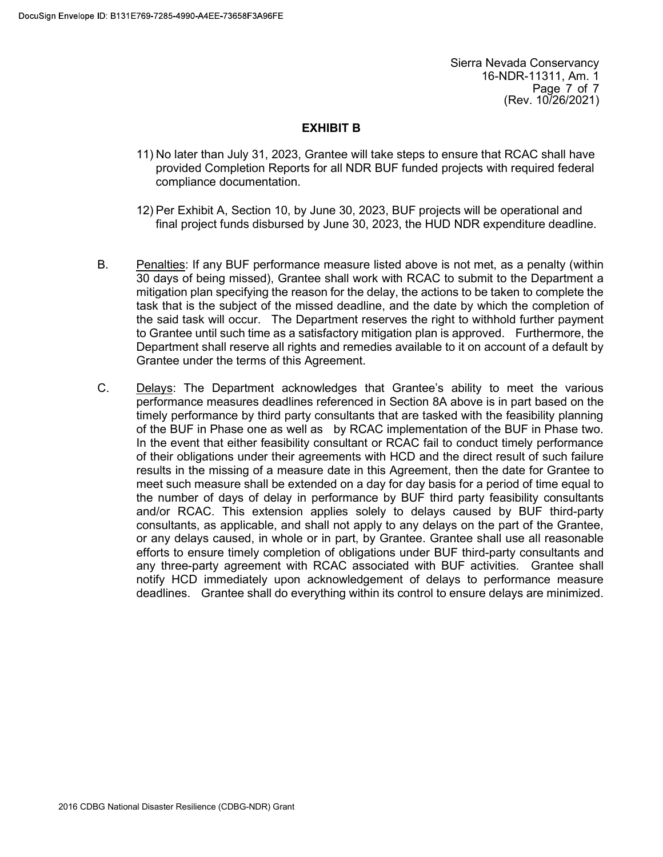Sierra Nevada Conservancy 16-NDR-11311, Am. 1 Page 7 of 7 (Rev. 10/26/2021)

## EXHIBIT B

- 11) No later than July 31, 2023, Grantee will take steps to ensure that RCAC shall have provided Completion Reports for all NDR BUF funded projects with required federal compliance documentation.
- 12) Per Exhibit A, Section 10, by June 30, 2023, BUF projects will be operational and final project funds disbursed by June 30, 2023, the HUD NDR expenditure deadline.
- B. Penalties: If any BUF performance measure listed above is not met, as a penalty (within 30 days of being missed), Grantee shall work with RCAC to submit to the Department a mitigation plan specifying the reason for the delay, the actions to be taken to complete the task that is the subject of the missed deadline, and the date by which the completion of the said task will occur. The Department reserves the right to withhold further payment to Grantee until such time as a satisfactory mitigation plan is approved. Furthermore, the Department shall reserve all rights and remedies available to it on account of a default by Grantee under the terms of this Agreement.
- C. Delays: The Department acknowledges that Grantee's ability to meet the various performance measures deadlines referenced in Section 8A above is in part based on the timely performance by third party consultants that are tasked with the feasibility planning of the BUF in Phase one as well as by RCAC implementation of the BUF in Phase two. In the event that either feasibility consultant or RCAC fail to conduct timely performance of their obligations under their agreements with HCD and the direct result of such failure results in the missing of a measure date in this Agreement, then the date for Grantee to meet such measure shall be extended on a day for day basis for a period of time equal to the number of days of delay in performance by BUF third party feasibility consultants and/or RCAC. This extension applies solely to delays caused by BUF third-party consultants, as applicable, and shall not apply to any delays on the part of the Grantee, or any delays caused, in whole or in part, by Grantee. Grantee shall use all reasonable efforts to ensure timely completion of obligations under BUF third-party consultants and any three-party agreement with RCAC associated with BUF activities. Grantee shall notify HCD immediately upon acknowledgement of delays to performance measure deadlines. Grantee shall do everything within its control to ensure delays are minimized.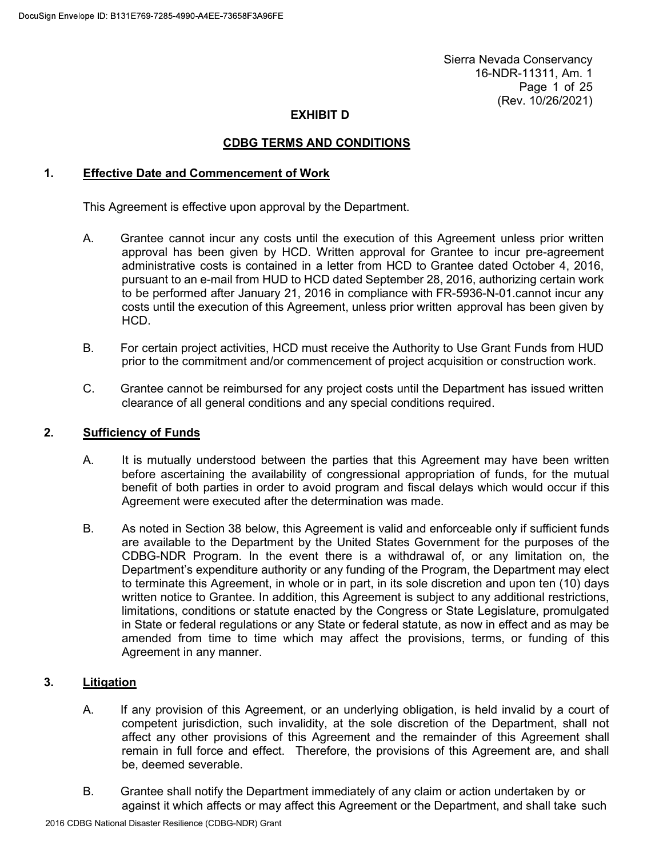Sierra Nevada Conservancy 16-NDR-11311, Am. 1 Page 1 of 25 (Rev. 10/26/2021)

## EXHIBIT D

## CDBG TERMS AND CONDITIONS

#### 1. Effective Date and Commencement of Work

This Agreement is effective upon approval by the Department.

- A. Grantee cannot incur any costs until the execution of this Agreement unless prior written approval has been given by HCD. Written approval for Grantee to incur pre-agreement administrative costs is contained in a letter from HCD to Grantee dated October 4, 2016, pursuant to an e-mail from HUD to HCD dated September 28, 2016, authorizing certain work to be performed after January 21, 2016 in compliance with FR-5936-N-01.cannot incur any costs until the execution of this Agreement, unless prior written approval has been given by HCD.
- B. For certain project activities, HCD must receive the Authority to Use Grant Funds from HUD prior to the commitment and/or commencement of project acquisition or construction work.
- C. Grantee cannot be reimbursed for any project costs until the Department has issued written clearance of all general conditions and any special conditions required.

#### 2. Sufficiency of Funds

- A. It is mutually understood between the parties that this Agreement may have been written before ascertaining the availability of congressional appropriation of funds, for the mutual benefit of both parties in order to avoid program and fiscal delays which would occur if this Agreement were executed after the determination was made.
- B. As noted in Section 38 below, this Agreement is valid and enforceable only if sufficient funds are available to the Department by the United States Government for the purposes of the CDBG-NDR Program. In the event there is a withdrawal of, or any limitation on, the Department's expenditure authority or any funding of the Program, the Department may elect to terminate this Agreement, in whole or in part, in its sole discretion and upon ten (10) days written notice to Grantee. In addition, this Agreement is subject to any additional restrictions, limitations, conditions or statute enacted by the Congress or State Legislature, promulgated in State or federal regulations or any State or federal statute, as now in effect and as may be amended from time to time which may affect the provisions, terms, or funding of this Agreement in any manner.

### 3. Litigation

- A. If any provision of this Agreement, or an underlying obligation, is held invalid by a court of competent jurisdiction, such invalidity, at the sole discretion of the Department, shall not affect any other provisions of this Agreement and the remainder of this Agreement shall remain in full force and effect. Therefore, the provisions of this Agreement are, and shall be, deemed severable.
- B. Grantee shall notify the Department immediately of any claim or action undertaken by or against it which affects or may affect this Agreement or the Department, and shall take such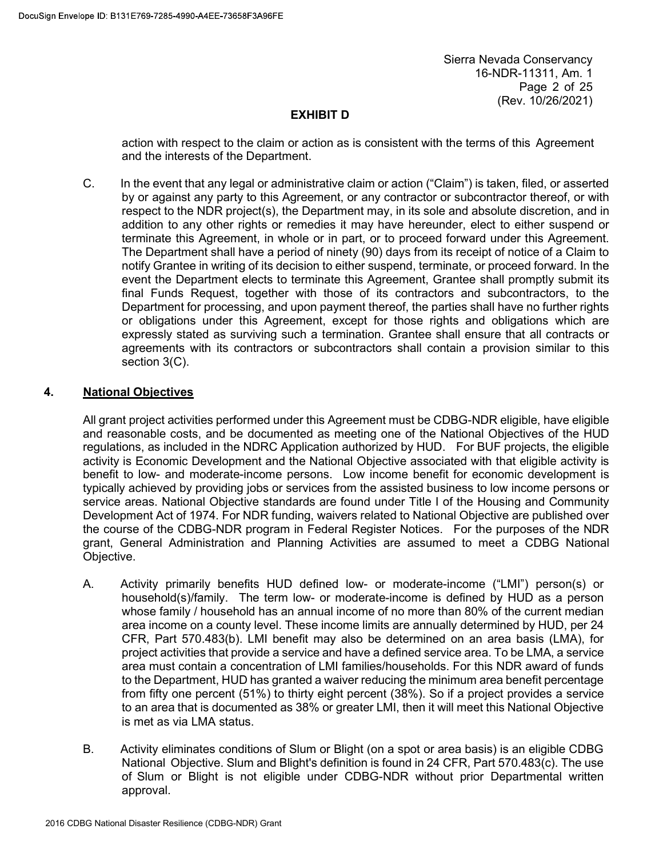Sierra Nevada Conservancy 16-NDR-11311, Am. 1 Page 2 of 25 (Rev. 10/26/2021)

## EXHIBIT D

action with respect to the claim or action as is consistent with the terms of this Agreement and the interests of the Department.

C. In the event that any legal or administrative claim or action ("Claim") is taken, filed, or asserted by or against any party to this Agreement, or any contractor or subcontractor thereof, or with respect to the NDR project(s), the Department may, in its sole and absolute discretion, and in addition to any other rights or remedies it may have hereunder, elect to either suspend or terminate this Agreement, in whole or in part, or to proceed forward under this Agreement. The Department shall have a period of ninety (90) days from its receipt of notice of a Claim to notify Grantee in writing of its decision to either suspend, terminate, or proceed forward. In the event the Department elects to terminate this Agreement, Grantee shall promptly submit its final Funds Request, together with those of its contractors and subcontractors, to the Department for processing, and upon payment thereof, the parties shall have no further rights or obligations under this Agreement, except for those rights and obligations which are expressly stated as surviving such a termination. Grantee shall ensure that all contracts or agreements with its contractors or subcontractors shall contain a provision similar to this section 3(C).

### 4. National Objectives

All grant project activities performed under this Agreement must be CDBG-NDR eligible, have eligible and reasonable costs, and be documented as meeting one of the National Objectives of the HUD regulations, as included in the NDRC Application authorized by HUD. For BUF projects, the eligible activity is Economic Development and the National Objective associated with that eligible activity is benefit to low- and moderate-income persons. Low income benefit for economic development is typically achieved by providing jobs or services from the assisted business to low income persons or service areas. National Objective standards are found under Title I of the Housing and Community Development Act of 1974. For NDR funding, waivers related to National Objective are published over the course of the CDBG-NDR program in Federal Register Notices. For the purposes of the NDR grant, General Administration and Planning Activities are assumed to meet a CDBG National Objective.

- A. Activity primarily benefits HUD defined low- or moderate-income ("LMI") person(s) or household(s)/family. The term low- or moderate-income is defined by HUD as a person whose family / household has an annual income of no more than 80% of the current median area income on a county level. These income limits are annually determined by HUD, per 24 CFR, Part 570.483(b). LMI benefit may also be determined on an area basis (LMA), for project activities that provide a service and have a defined service area. To be LMA, a service area must contain a concentration of LMI families/households. For this NDR award of funds to the Department, HUD has granted a waiver reducing the minimum area benefit percentage from fifty one percent (51%) to thirty eight percent (38%). So if a project provides a service to an area that is documented as 38% or greater LMI, then it will meet this National Objective is met as via LMA status.
- B. Activity eliminates conditions of Slum or Blight (on a spot or area basis) is an eligible CDBG National Objective. Slum and Blight's definition is found in 24 CFR, Part 570.483(c). The use of Slum or Blight is not eligible under CDBG-NDR without prior Departmental written approval.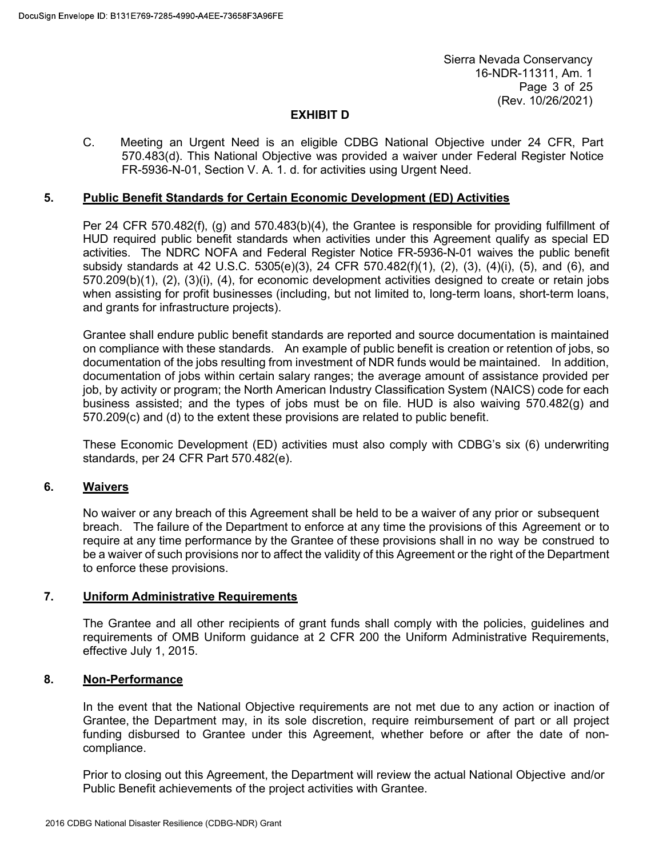Sierra Nevada Conservancy 16-NDR-11311, Am. 1 Page 3 of 25 (Rev. 10/26/2021)

## EXHIBIT D

C. Meeting an Urgent Need is an eligible CDBG National Objective under 24 CFR, Part 570.483(d). This National Objective was provided a waiver under Federal Register Notice FR-5936-N-01, Section V. A. 1. d. for activities using Urgent Need.

#### 5. Public Benefit Standards for Certain Economic Development (ED) Activities

Per 24 CFR 570.482(f), (g) and 570.483(b)(4), the Grantee is responsible for providing fulfillment of HUD required public benefit standards when activities under this Agreement qualify as special ED activities. The NDRC NOFA and Federal Register Notice FR-5936-N-01 waives the public benefit subsidy standards at 42 U.S.C. 5305(e)(3), 24 CFR 570.482(f)(1), (2), (3), (4)(i), (5), and (6), and 570.209(b)(1), (2), (3)(i), (4), for economic development activities designed to create or retain jobs when assisting for profit businesses (including, but not limited to, long-term loans, short-term loans, and grants for infrastructure projects).

Grantee shall endure public benefit standards are reported and source documentation is maintained on compliance with these standards. An example of public benefit is creation or retention of jobs, so documentation of the jobs resulting from investment of NDR funds would be maintained. In addition, documentation of jobs within certain salary ranges; the average amount of assistance provided per job, by activity or program; the North American Industry Classification System (NAICS) code for each business assisted; and the types of jobs must be on file. HUD is also waiving 570.482(g) and 570.209(c) and (d) to the extent these provisions are related to public benefit.

These Economic Development (ED) activities must also comply with CDBG's six (6) underwriting standards, per 24 CFR Part 570.482(e).

### 6. Waivers

No waiver or any breach of this Agreement shall be held to be a waiver of any prior or subsequent breach. The failure of the Department to enforce at any time the provisions of this Agreement or to require at any time performance by the Grantee of these provisions shall in no way be construed to be a waiver of such provisions nor to affect the validity of this Agreement or the right of the Department to enforce these provisions.

### 7. Uniform Administrative Requirements

The Grantee and all other recipients of grant funds shall comply with the policies, guidelines and requirements of OMB Uniform guidance at 2 CFR 200 the Uniform Administrative Requirements, effective July 1, 2015.

#### 8. Non-Performance

In the event that the National Objective requirements are not met due to any action or inaction of Grantee, the Department may, in its sole discretion, require reimbursement of part or all project funding disbursed to Grantee under this Agreement, whether before or after the date of noncompliance.

Prior to closing out this Agreement, the Department will review the actual National Objective and/or Public Benefit achievements of the project activities with Grantee.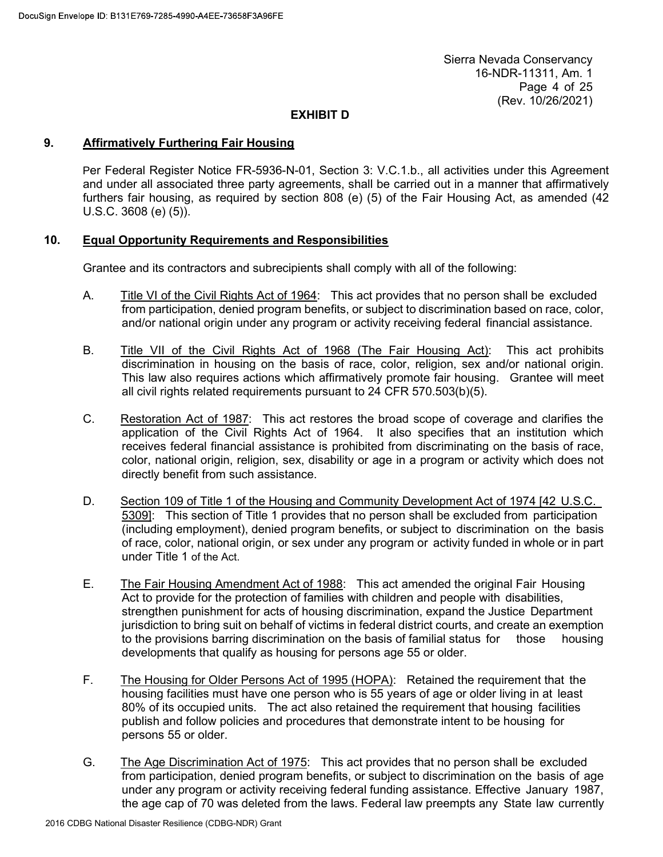Sierra Nevada Conservancy 16-NDR-11311, Am. 1 Page 4 of 25 (Rev. 10/26/2021)

# EXHIBIT D

## 9. Affirmatively Furthering Fair Housing

 Per Federal Register Notice FR-5936-N-01, Section 3: V.C.1.b., all activities under this Agreement and under all associated three party agreements, shall be carried out in a manner that affirmatively furthers fair housing, as required by section 808 (e) (5) of the Fair Housing Act, as amended (42 U.S.C. 3608 (e) (5)).

## 10. Equal Opportunity Requirements and Responsibilities

Grantee and its contractors and subrecipients shall comply with all of the following:

- A. Title VI of the Civil Rights Act of 1964: This act provides that no person shall be excluded from participation, denied program benefits, or subject to discrimination based on race, color, and/or national origin under any program or activity receiving federal financial assistance.
- B. Title VII of the Civil Rights Act of 1968 (The Fair Housing Act): This act prohibits discrimination in housing on the basis of race, color, religion, sex and/or national origin. This law also requires actions which affirmatively promote fair housing. Grantee will meet all civil rights related requirements pursuant to 24 CFR 570.503(b)(5).
- C. Restoration Act of 1987: This act restores the broad scope of coverage and clarifies the application of the Civil Rights Act of 1964. It also specifies that an institution which receives federal financial assistance is prohibited from discriminating on the basis of race, color, national origin, religion, sex, disability or age in a program or activity which does not directly benefit from such assistance.
- D. Section 109 of Title 1 of the Housing and Community Development Act of 1974 [42 U.S.C. 5309]: This section of Title 1 provides that no person shall be excluded from participation (including employment), denied program benefits, or subject to discrimination on the basis of race, color, national origin, or sex under any program or activity funded in whole or in part under Title 1 of the Act.
- E. The Fair Housing Amendment Act of 1988: This act amended the original Fair Housing Act to provide for the protection of families with children and people with disabilities, strengthen punishment for acts of housing discrimination, expand the Justice Department jurisdiction to bring suit on behalf of victims in federal district courts, and create an exemption to the provisions barring discrimination on the basis of familial status for those housing developments that qualify as housing for persons age 55 or older.
- F. The Housing for Older Persons Act of 1995 (HOPA): Retained the requirement that the housing facilities must have one person who is 55 years of age or older living in at least 80% of its occupied units. The act also retained the requirement that housing facilities publish and follow policies and procedures that demonstrate intent to be housing for persons 55 or older.
- G. The Age Discrimination Act of 1975: This act provides that no person shall be excluded from participation, denied program benefits, or subject to discrimination on the basis of age under any program or activity receiving federal funding assistance. Effective January 1987, the age cap of 70 was deleted from the laws. Federal law preempts any State law currently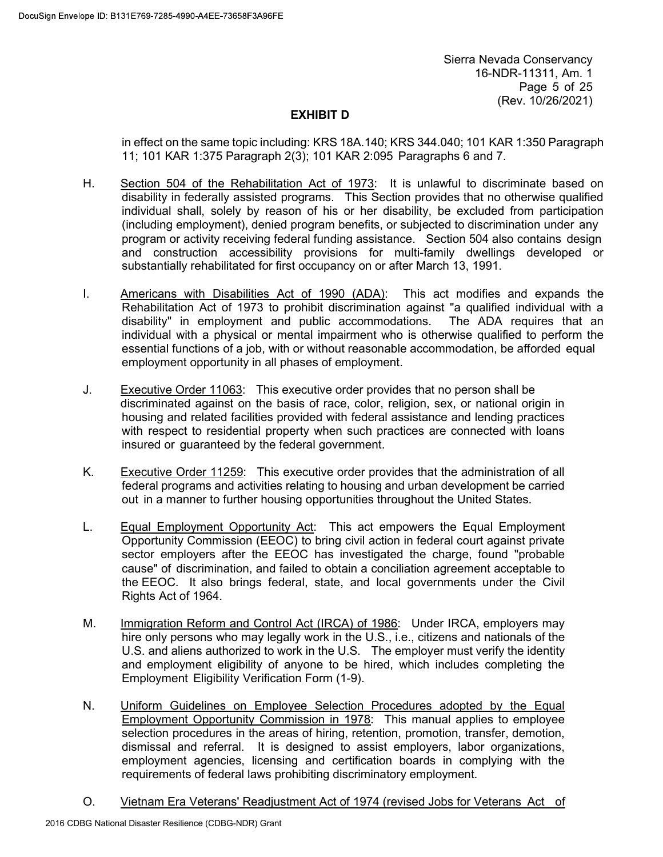Sierra Nevada Conservancy 16-NDR-11311, Am. 1 Page 5 of 25 (Rev. 10/26/2021)

## EXHIBIT D

in effect on the same topic including: KRS 18A.140; KRS 344.040; 101 KAR 1:350 Paragraph 11; 101 KAR 1:375 Paragraph 2(3); 101 KAR 2:095 Paragraphs 6 and 7.

- H. Section 504 of the Rehabilitation Act of 1973: It is unlawful to discriminate based on disability in federally assisted programs. This Section provides that no otherwise qualified individual shall, solely by reason of his or her disability, be excluded from participation (including employment), denied program benefits, or subjected to discrimination under any program or activity receiving federal funding assistance. Section 504 also contains design and construction accessibility provisions for multi-family dwellings developed or substantially rehabilitated for first occupancy on or after March 13, 1991.
- I. Americans with Disabilities Act of 1990 (ADA): This act modifies and expands the Rehabilitation Act of 1973 to prohibit discrimination against "a qualified individual with a disability" in employment and public accommodations. The ADA requires that an individual with a physical or mental impairment who is otherwise qualified to perform the essential functions of a job, with or without reasonable accommodation, be afforded equal employment opportunity in all phases of employment.
- J. Executive Order 11063: This executive order provides that no person shall be discriminated against on the basis of race, color, religion, sex, or national origin in housing and related facilities provided with federal assistance and lending practices with respect to residential property when such practices are connected with loans insured or guaranteed by the federal government.
- K. Executive Order 11259: This executive order provides that the administration of all federal programs and activities relating to housing and urban development be carried out in a manner to further housing opportunities throughout the United States.
- L. Equal Employment Opportunity Act: This act empowers the Equal Employment Opportunity Commission (EEOC) to bring civil action in federal court against private sector employers after the EEOC has investigated the charge, found "probable cause" of discrimination, and failed to obtain a conciliation agreement acceptable to the EEOC. It also brings federal, state, and local governments under the Civil Rights Act of 1964.
- M. Immigration Reform and Control Act (IRCA) of 1986: Under IRCA, employers may hire only persons who may legally work in the U.S., i.e., citizens and nationals of the U.S. and aliens authorized to work in the U.S. The employer must verify the identity and employment eligibility of anyone to be hired, which includes completing the Employment Eligibility Verification Form (1-9).
- N. Uniform Guidelines on Employee Selection Procedures adopted by the Equal Employment Opportunity Commission in 1978: This manual applies to employee selection procedures in the areas of hiring, retention, promotion, transfer, demotion, dismissal and referral. It is designed to assist employers, labor organizations, employment agencies, licensing and certification boards in complying with the requirements of federal laws prohibiting discriminatory employment.
- O. Vietnam Era Veterans' Readjustment Act of 1974 (revised Jobs for Veterans Act of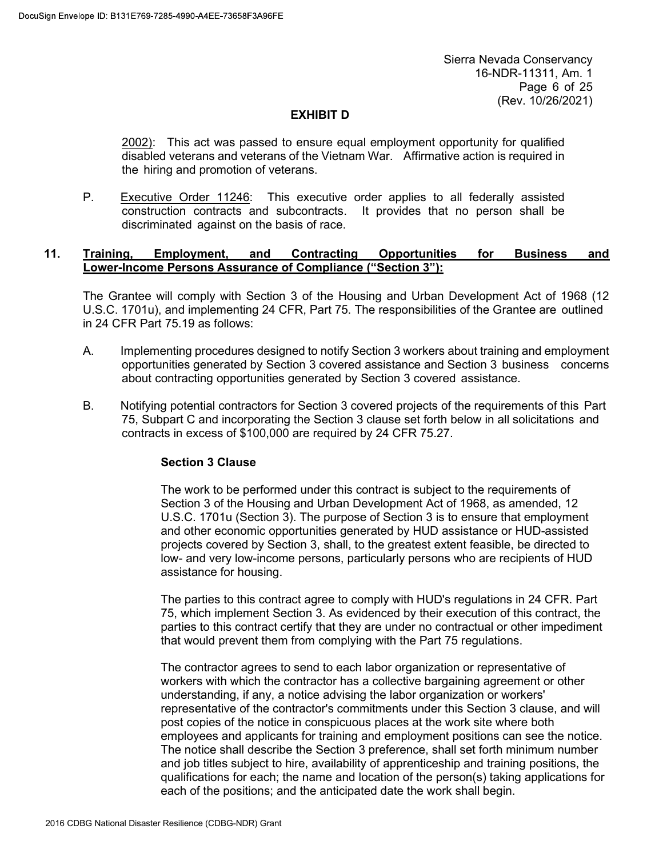Sierra Nevada Conservancy 16-NDR-11311, Am. 1 Page 6 of 25 (Rev. 10/26/2021)

## EXHIBIT D

2002): This act was passed to ensure equal employment opportunity for qualified disabled veterans and veterans of the Vietnam War. Affirmative action is required in the hiring and promotion of veterans.

P. Executive Order 11246: This executive order applies to all federally assisted construction contracts and subcontracts. It provides that no person shall be discriminated against on the basis of race.

#### 11. Training, Employment, and Contracting Opportunities for Business and Lower-Income Persons Assurance of Compliance ("Section 3"):

The Grantee will comply with Section 3 of the Housing and Urban Development Act of 1968 (12 U.S.C. 1701u), and implementing 24 CFR, Part 75. The responsibilities of the Grantee are outlined in 24 CFR Part 75.19 as follows:

- A. Implementing procedures designed to notify Section 3 workers about training and employment opportunities generated by Section 3 covered assistance and Section 3 business concerns about contracting opportunities generated by Section 3 covered assistance.
- B. Notifying potential contractors for Section 3 covered projects of the requirements of this Part 75, Subpart C and incorporating the Section 3 clause set forth below in all solicitations and contracts in excess of \$100,000 are required by 24 CFR 75.27.

### Section 3 Clause

The work to be performed under this contract is subject to the requirements of Section 3 of the Housing and Urban Development Act of 1968, as amended, 12 U.S.C. 1701u (Section 3). The purpose of Section 3 is to ensure that employment and other economic opportunities generated by HUD assistance or HUD-assisted projects covered by Section 3, shall, to the greatest extent feasible, be directed to low- and very low-income persons, particularly persons who are recipients of HUD assistance for housing.

The parties to this contract agree to comply with HUD's regulations in 24 CFR. Part 75, which implement Section 3. As evidenced by their execution of this contract, the parties to this contract certify that they are under no contractual or other impediment that would prevent them from complying with the Part 75 regulations.

The contractor agrees to send to each labor organization or representative of workers with which the contractor has a collective bargaining agreement or other understanding, if any, a notice advising the labor organization or workers' representative of the contractor's commitments under this Section 3 clause, and will post copies of the notice in conspicuous places at the work site where both employees and applicants for training and employment positions can see the notice. The notice shall describe the Section 3 preference, shall set forth minimum number and job titles subject to hire, availability of apprenticeship and training positions, the qualifications for each; the name and location of the person(s) taking applications for each of the positions; and the anticipated date the work shall begin.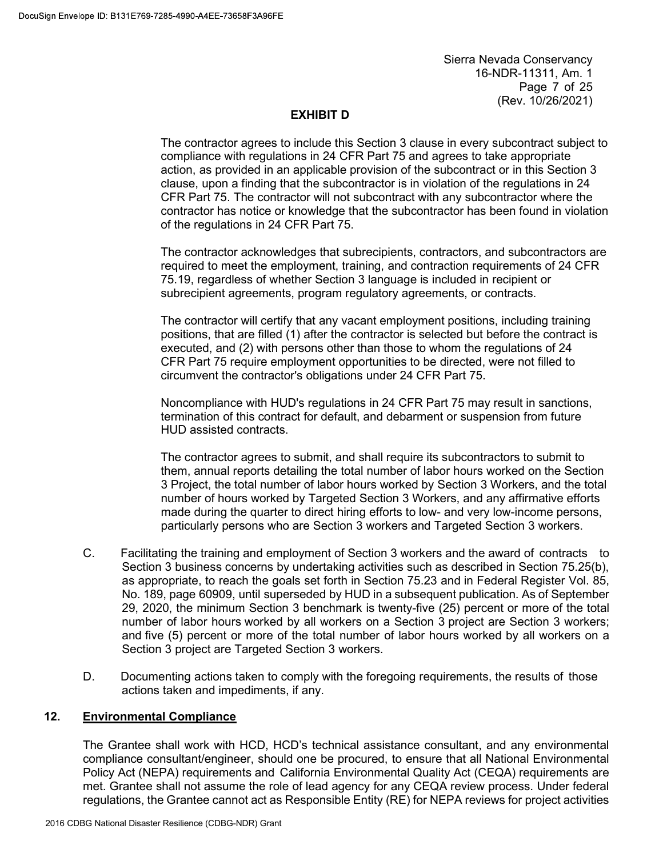Sierra Nevada Conservancy 16-NDR-11311, Am. 1 Page 7 of 25 (Rev. 10/26/2021)

## EXHIBIT D

The contractor agrees to include this Section 3 clause in every subcontract subject to compliance with regulations in 24 CFR Part 75 and agrees to take appropriate action, as provided in an applicable provision of the subcontract or in this Section 3 clause, upon a finding that the subcontractor is in violation of the regulations in 24 CFR Part 75. The contractor will not subcontract with any subcontractor where the contractor has notice or knowledge that the subcontractor has been found in violation of the regulations in 24 CFR Part 75.

The contractor acknowledges that subrecipients, contractors, and subcontractors are required to meet the employment, training, and contraction requirements of 24 CFR 75.19, regardless of whether Section 3 language is included in recipient or subrecipient agreements, program regulatory agreements, or contracts.

The contractor will certify that any vacant employment positions, including training positions, that are filled (1) after the contractor is selected but before the contract is executed, and (2) with persons other than those to whom the regulations of 24 CFR Part 75 require employment opportunities to be directed, were not filled to circumvent the contractor's obligations under 24 CFR Part 75.

Noncompliance with HUD's regulations in 24 CFR Part 75 may result in sanctions, termination of this contract for default, and debarment or suspension from future HUD assisted contracts.

The contractor agrees to submit, and shall require its subcontractors to submit to them, annual reports detailing the total number of labor hours worked on the Section 3 Project, the total number of labor hours worked by Section 3 Workers, and the total number of hours worked by Targeted Section 3 Workers, and any affirmative efforts made during the quarter to direct hiring efforts to low- and very low-income persons, particularly persons who are Section 3 workers and Targeted Section 3 workers.

- C. Facilitating the training and employment of Section 3 workers and the award of contracts to Section 3 business concerns by undertaking activities such as described in Section 75.25(b), as appropriate, to reach the goals set forth in Section 75.23 and in Federal Register Vol. 85, No. 189, page 60909, until superseded by HUD in a subsequent publication. As of September 29, 2020, the minimum Section 3 benchmark is twenty-five (25) percent or more of the total number of labor hours worked by all workers on a Section 3 project are Section 3 workers; and five (5) percent or more of the total number of labor hours worked by all workers on a Section 3 project are Targeted Section 3 workers.
- D. Documenting actions taken to comply with the foregoing requirements, the results of those actions taken and impediments, if any.

### 12. Environmental Compliance

The Grantee shall work with HCD, HCD's technical assistance consultant, and any environmental compliance consultant/engineer, should one be procured, to ensure that all National Environmental Policy Act (NEPA) requirements and California Environmental Quality Act (CEQA) requirements are met. Grantee shall not assume the role of lead agency for any CEQA review process. Under federal regulations, the Grantee cannot act as Responsible Entity (RE) for NEPA reviews for project activities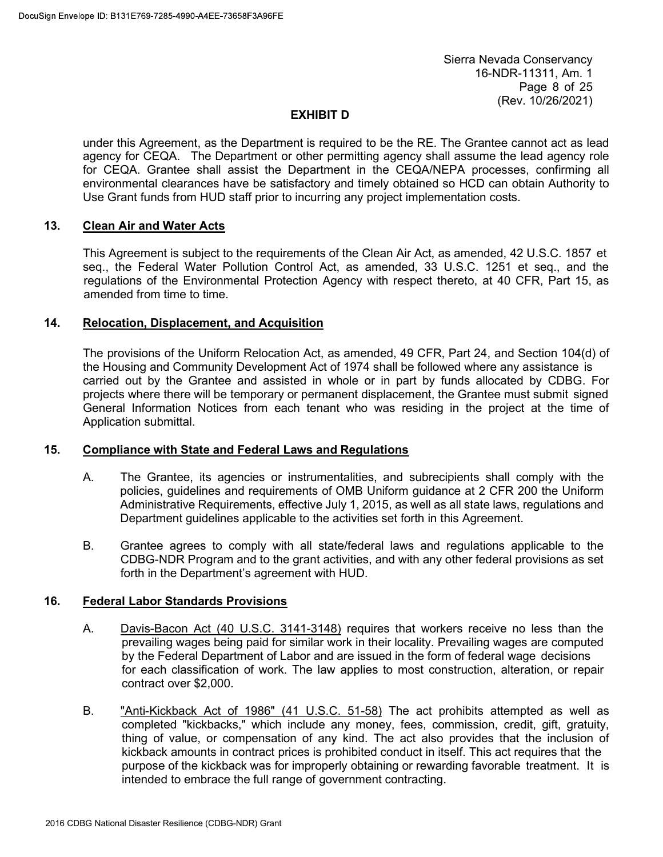Sierra Nevada Conservancy 16-NDR-11311, Am. 1 Page 8 of 25 (Rev. 10/26/2021)

## EXHIBIT D

under this Agreement, as the Department is required to be the RE. The Grantee cannot act as lead agency for CEQA. The Department or other permitting agency shall assume the lead agency role for CEQA. Grantee shall assist the Department in the CEQA/NEPA processes, confirming all environmental clearances have be satisfactory and timely obtained so HCD can obtain Authority to Use Grant funds from HUD staff prior to incurring any project implementation costs.

### 13. Clean Air and Water Acts

This Agreement is subject to the requirements of the Clean Air Act, as amended, 42 U.S.C. 1857 et seq., the Federal Water Pollution Control Act, as amended, 33 U.S.C. 1251 et seq., and the regulations of the Environmental Protection Agency with respect thereto, at 40 CFR, Part 15, as amended from time to time.

#### 14. Relocation, Displacement, and Acquisition

The provisions of the Uniform Relocation Act, as amended, 49 CFR, Part 24, and Section 104(d) of the Housing and Community Development Act of 1974 shall be followed where any assistance is carried out by the Grantee and assisted in whole or in part by funds allocated by CDBG. For projects where there will be temporary or permanent displacement, the Grantee must submit signed General Information Notices from each tenant who was residing in the project at the time of Application submittal.

### 15. Compliance with State and Federal Laws and Regulations

- A. The Grantee, its agencies or instrumentalities, and subrecipients shall comply with the policies, guidelines and requirements of OMB Uniform guidance at 2 CFR 200 the Uniform Administrative Requirements, effective July 1, 2015, as well as all state laws, regulations and Department guidelines applicable to the activities set forth in this Agreement.
- B. Grantee agrees to comply with all state/federal laws and regulations applicable to the CDBG-NDR Program and to the grant activities, and with any other federal provisions as set forth in the Department's agreement with HUD.

### 16. Federal Labor Standards Provisions

- A. Davis-Bacon Act (40 U.S.C. 3141-3148) requires that workers receive no less than the prevailing wages being paid for similar work in their locality. Prevailing wages are computed by the Federal Department of Labor and are issued in the form of federal wage decisions for each classification of work. The law applies to most construction, alteration, or repair contract over \$2,000.
- B. "Anti-Kickback Act of 1986" (41 U.S.C. 51-58) The act prohibits attempted as well as completed "kickbacks," which include any money, fees, commission, credit, gift, gratuity, thing of value, or compensation of any kind. The act also provides that the inclusion of kickback amounts in contract prices is prohibited conduct in itself. This act requires that the purpose of the kickback was for improperly obtaining or rewarding favorable treatment. It is intended to embrace the full range of government contracting.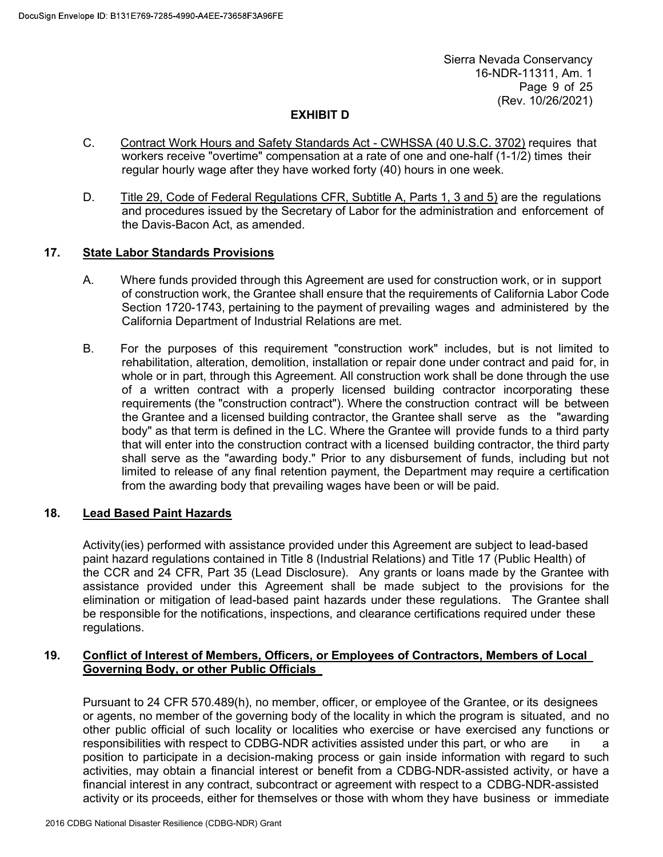Sierra Nevada Conservancy 16-NDR-11311, Am. 1 Page 9 of 25 (Rev. 10/26/2021)

# EXHIBIT D

- C. Contract Work Hours and Safety Standards Act CWHSSA (40 U.S.C. 3702) requires that workers receive "overtime" compensation at a rate of one and one-half (1-1/2) times their regular hourly wage after they have worked forty (40) hours in one week.
- D. Title 29, Code of Federal Regulations CFR, Subtitle A, Parts 1, 3 and 5) are the regulations and procedures issued by the Secretary of Labor for the administration and enforcement of the Davis-Bacon Act, as amended.

### 17. State Labor Standards Provisions

- A. Where funds provided through this Agreement are used for construction work, or in support of construction work, the Grantee shall ensure that the requirements of California Labor Code Section 1720-1743, pertaining to the payment of prevailing wages and administered by the California Department of Industrial Relations are met.
- B. For the purposes of this requirement "construction work" includes, but is not limited to rehabilitation, alteration, demolition, installation or repair done under contract and paid for, in whole or in part, through this Agreement. All construction work shall be done through the use of a written contract with a properly licensed building contractor incorporating these requirements (the "construction contract"). Where the construction contract will be between the Grantee and a licensed building contractor, the Grantee shall serve as the "awarding body" as that term is defined in the LC. Where the Grantee will provide funds to a third party that will enter into the construction contract with a licensed building contractor, the third party shall serve as the "awarding body." Prior to any disbursement of funds, including but not limited to release of any final retention payment, the Department may require a certification from the awarding body that prevailing wages have been or will be paid.

### 18. Lead Based Paint Hazards

Activity(ies) performed with assistance provided under this Agreement are subject to lead-based paint hazard regulations contained in Title 8 (Industrial Relations) and Title 17 (Public Health) of the CCR and 24 CFR, Part 35 (Lead Disclosure). Any grants or loans made by the Grantee with assistance provided under this Agreement shall be made subject to the provisions for the elimination or mitigation of lead-based paint hazards under these regulations. The Grantee shall be responsible for the notifications, inspections, and clearance certifications required under these regulations.

### 19. Conflict of Interest of Members, Officers, or Employees of Contractors, Members of Local Governing Body, or other Public Officials

Pursuant to 24 CFR 570.489(h), no member, officer, or employee of the Grantee, or its designees or agents, no member of the governing body of the locality in which the program is situated, and no other public official of such locality or localities who exercise or have exercised any functions or responsibilities with respect to CDBG-NDR activities assisted under this part, or who are in a position to participate in a decision-making process or gain inside information with regard to such activities, may obtain a financial interest or benefit from a CDBG-NDR-assisted activity, or have a financial interest in any contract, subcontract or agreement with respect to a CDBG-NDR-assisted activity or its proceeds, either for themselves or those with whom they have business or immediate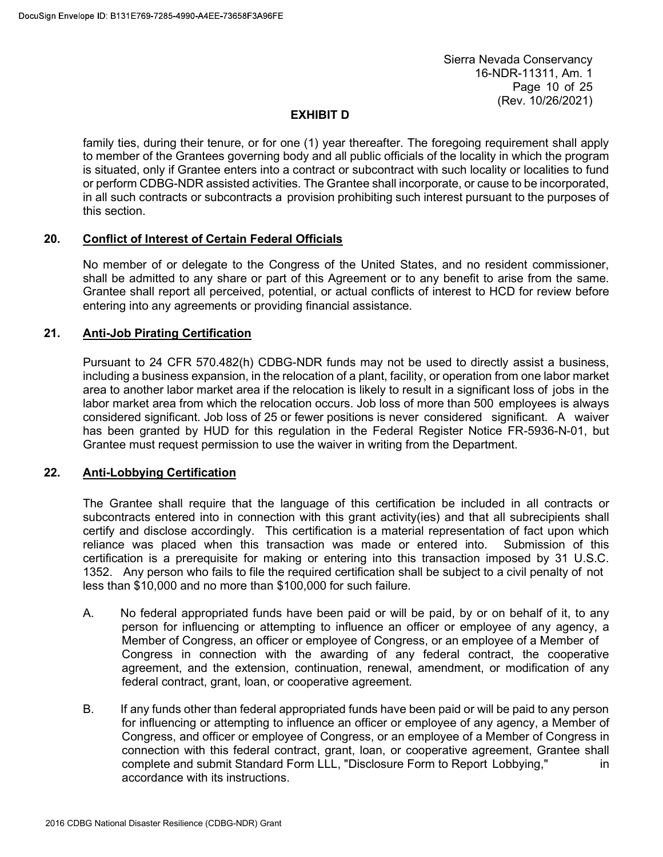Sierra Nevada Conservancy 16-NDR-11311, Am. 1 Page 10 of 25 (Rev. 10/26/2021)

## EXHIBIT D

family ties, during their tenure, or for one (1) year thereafter. The foregoing requirement shall apply to member of the Grantees governing body and all public officials of the locality in which the program is situated, only if Grantee enters into a contract or subcontract with such locality or localities to fund or perform CDBG-NDR assisted activities. The Grantee shall incorporate, or cause to be incorporated, in all such contracts or subcontracts a provision prohibiting such interest pursuant to the purposes of this section.

#### 20. Conflict of Interest of Certain Federal Officials

No member of or delegate to the Congress of the United States, and no resident commissioner, shall be admitted to any share or part of this Agreement or to any benefit to arise from the same. Grantee shall report all perceived, potential, or actual conflicts of interest to HCD for review before entering into any agreements or providing financial assistance.

#### 21. Anti-Job Pirating Certification

Pursuant to 24 CFR 570.482(h) CDBG-NDR funds may not be used to directly assist a business, including a business expansion, in the relocation of a plant, facility, or operation from one labor market area to another labor market area if the relocation is likely to result in a significant loss of jobs in the labor market area from which the relocation occurs. Job loss of more than 500 employees is always considered significant. Job loss of 25 or fewer positions is never considered significant. A waiver has been granted by HUD for this regulation in the Federal Register Notice FR-5936-N-01, but Grantee must request permission to use the waiver in writing from the Department.

### 22. Anti-Lobbying Certification

The Grantee shall require that the language of this certification be included in all contracts or subcontracts entered into in connection with this grant activity(ies) and that all subrecipients shall certify and disclose accordingly. This certification is a material representation of fact upon which reliance was placed when this transaction was made or entered into. Submission of this certification is a prerequisite for making or entering into this transaction imposed by 31 U.S.C. 1352. Any person who fails to file the required certification shall be subject to a civil penalty of not less than \$10,000 and no more than \$100,000 for such failure.

- A. No federal appropriated funds have been paid or will be paid, by or on behalf of it, to any person for influencing or attempting to influence an officer or employee of any agency, a Member of Congress, an officer or employee of Congress, or an employee of a Member of Congress in connection with the awarding of any federal contract, the cooperative agreement, and the extension, continuation, renewal, amendment, or modification of any federal contract, grant, loan, or cooperative agreement.
- B. If any funds other than federal appropriated funds have been paid or will be paid to any person for influencing or attempting to influence an officer or employee of any agency, a Member of Congress, and officer or employee of Congress, or an employee of a Member of Congress in connection with this federal contract, grant, loan, or cooperative agreement, Grantee shall complete and submit Standard Form LLL, "Disclosure Form to Report Lobbying," in accordance with its instructions.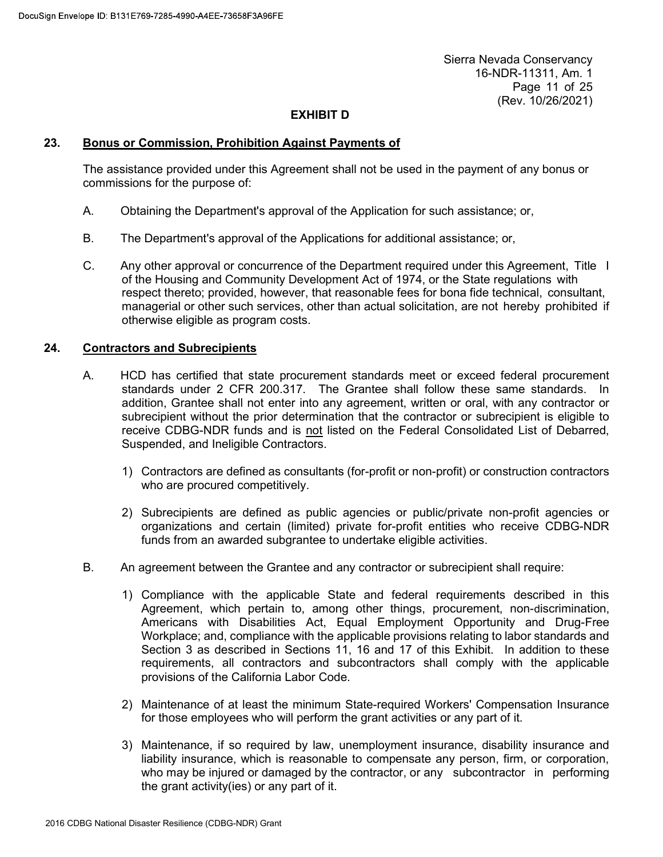Sierra Nevada Conservancy 16-NDR-11311, Am. 1 Page 11 of 25 (Rev. 10/26/2021)

#### EXHIBIT D

#### 23. Bonus or Commission, Prohibition Against Payments of

The assistance provided under this Agreement shall not be used in the payment of any bonus or commissions for the purpose of:

- A. Obtaining the Department's approval of the Application for such assistance; or,
- B. The Department's approval of the Applications for additional assistance; or,
- C. Any other approval or concurrence of the Department required under this Agreement, Title I of the Housing and Community Development Act of 1974, or the State regulations with respect thereto; provided, however, that reasonable fees for bona fide technical, consultant, managerial or other such services, other than actual solicitation, are not hereby prohibited if otherwise eligible as program costs.

#### 24. Contractors and Subrecipients

- A. HCD has certified that state procurement standards meet or exceed federal procurement standards under 2 CFR 200.317. The Grantee shall follow these same standards. In addition, Grantee shall not enter into any agreement, written or oral, with any contractor or subrecipient without the prior determination that the contractor or subrecipient is eligible to receive CDBG-NDR funds and is not listed on the Federal Consolidated List of Debarred, Suspended, and Ineligible Contractors.
	- 1) Contractors are defined as consultants (for-profit or non-profit) or construction contractors who are procured competitively.
	- 2) Subrecipients are defined as public agencies or public/private non-profit agencies or organizations and certain (limited) private for-profit entities who receive CDBG-NDR funds from an awarded subgrantee to undertake eligible activities.
- B. An agreement between the Grantee and any contractor or subrecipient shall require:
	- 1) Compliance with the applicable State and federal requirements described in this Agreement, which pertain to, among other things, procurement, non-discrimination, Americans with Disabilities Act, Equal Employment Opportunity and Drug-Free Workplace; and, compliance with the applicable provisions relating to labor standards and Section 3 as described in Sections 11, 16 and 17 of this Exhibit. In addition to these requirements, all contractors and subcontractors shall comply with the applicable provisions of the California Labor Code.
	- 2) Maintenance of at least the minimum State-required Workers' Compensation Insurance for those employees who will perform the grant activities or any part of it.
	- 3) Maintenance, if so required by law, unemployment insurance, disability insurance and liability insurance, which is reasonable to compensate any person, firm, or corporation, who may be injured or damaged by the contractor, or any subcontractor in performing the grant activity(ies) or any part of it.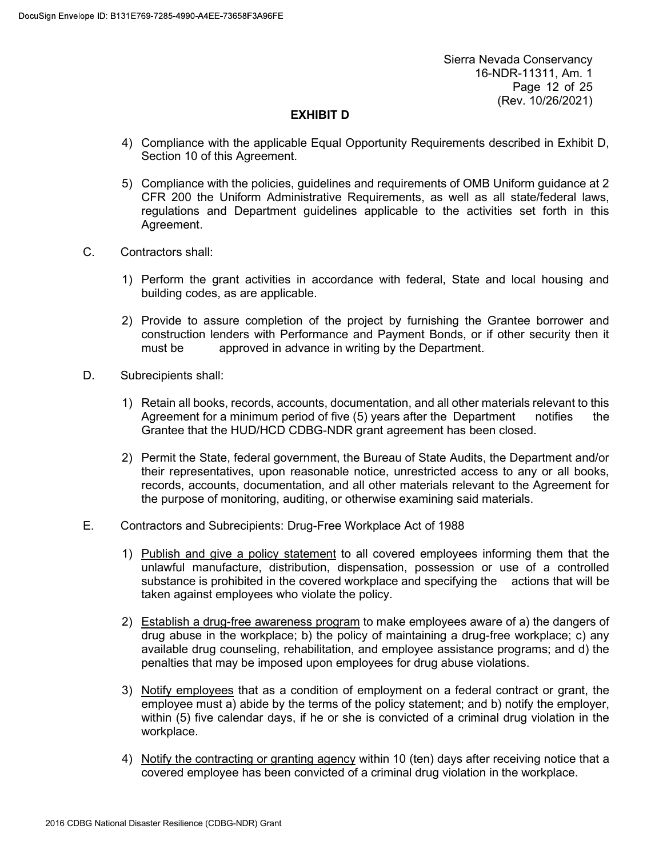Sierra Nevada Conservancy 16-NDR-11311, Am. 1 Page 12 of 25 (Rev. 10/26/2021)

## EXHIBIT D

- 4) Compliance with the applicable Equal Opportunity Requirements described in Exhibit D, Section 10 of this Agreement.
- 5) Compliance with the policies, guidelines and requirements of OMB Uniform guidance at 2 CFR 200 the Uniform Administrative Requirements, as well as all state/federal laws, regulations and Department guidelines applicable to the activities set forth in this Agreement.
- C. Contractors shall:
	- 1) Perform the grant activities in accordance with federal, State and local housing and building codes, as are applicable.
	- 2) Provide to assure completion of the project by furnishing the Grantee borrower and construction lenders with Performance and Payment Bonds, or if other security then it must be approved in advance in writing by the Department.
- D. Subrecipients shall:
	- 1) Retain all books, records, accounts, documentation, and all other materials relevant to this Agreement for a minimum period of five (5) years after the Department notifies the Grantee that the HUD/HCD CDBG-NDR grant agreement has been closed.
	- 2) Permit the State, federal government, the Bureau of State Audits, the Department and/or their representatives, upon reasonable notice, unrestricted access to any or all books, records, accounts, documentation, and all other materials relevant to the Agreement for the purpose of monitoring, auditing, or otherwise examining said materials.
- E. Contractors and Subrecipients: Drug-Free Workplace Act of 1988
	- 1) Publish and give a policy statement to all covered employees informing them that the unlawful manufacture, distribution, dispensation, possession or use of a controlled substance is prohibited in the covered workplace and specifying the actions that will be taken against employees who violate the policy.
	- 2) Establish a drug-free awareness program to make employees aware of a) the dangers of drug abuse in the workplace; b) the policy of maintaining a drug-free workplace; c) any available drug counseling, rehabilitation, and employee assistance programs; and d) the penalties that may be imposed upon employees for drug abuse violations.
	- 3) Notify employees that as a condition of employment on a federal contract or grant, the employee must a) abide by the terms of the policy statement; and b) notify the employer, within (5) five calendar days, if he or she is convicted of a criminal drug violation in the workplace.
	- 4) Notify the contracting or granting agency within 10 (ten) days after receiving notice that a covered employee has been convicted of a criminal drug violation in the workplace.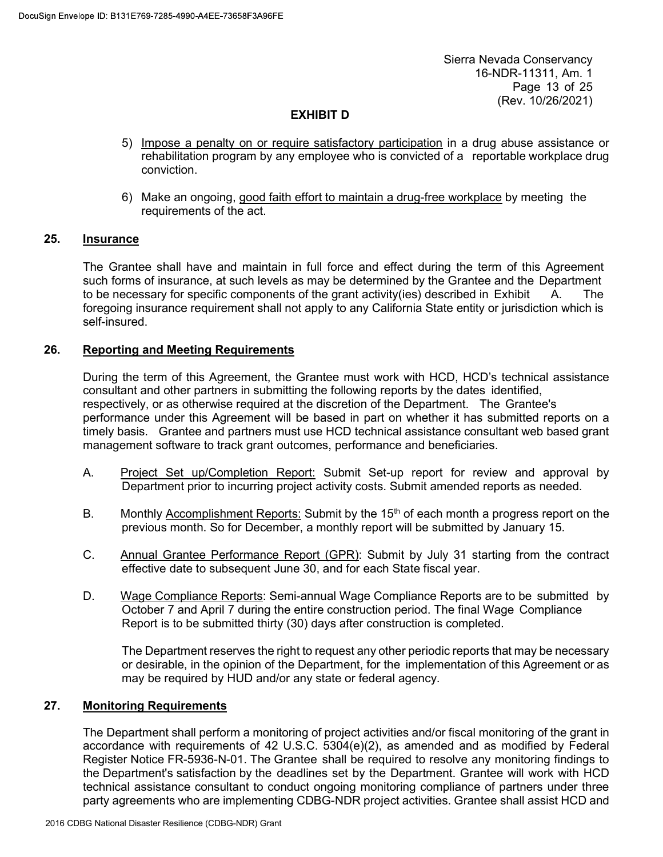Sierra Nevada Conservancy 16-NDR-11311, Am. 1 Page 13 of 25 (Rev. 10/26/2021)

## EXHIBIT D

- 5) Impose a penalty on or require satisfactory participation in a drug abuse assistance or rehabilitation program by any employee who is convicted of a reportable workplace drug conviction.
- 6) Make an ongoing, good faith effort to maintain a drug-free workplace by meeting the requirements of the act.

### 25. Insurance

The Grantee shall have and maintain in full force and effect during the term of this Agreement such forms of insurance, at such levels as may be determined by the Grantee and the Department to be necessary for specific components of the grant activity (ies) described in Exhibit  $A.$  The foregoing insurance requirement shall not apply to any California State entity or jurisdiction which is self-insured.

#### 26. Reporting and Meeting Requirements

During the term of this Agreement, the Grantee must work with HCD, HCD's technical assistance consultant and other partners in submitting the following reports by the dates identified, respectively, or as otherwise required at the discretion of the Department. The Grantee's performance under this Agreement will be based in part on whether it has submitted reports on a timely basis. Grantee and partners must use HCD technical assistance consultant web based grant management software to track grant outcomes, performance and beneficiaries.

- A. Project Set up/Completion Report: Submit Set-up report for review and approval by Department prior to incurring project activity costs. Submit amended reports as needed.
- B. Monthly Accomplishment Reports: Submit by the  $15<sup>th</sup>$  of each month a progress report on the previous month. So for December, a monthly report will be submitted by January 15.
- C. Annual Grantee Performance Report (GPR): Submit by July 31 starting from the contract effective date to subsequent June 30, and for each State fiscal year.
- D. Wage Compliance Reports: Semi-annual Wage Compliance Reports are to be submitted by October 7 and April 7 during the entire construction period. The final Wage Compliance Report is to be submitted thirty (30) days after construction is completed.

The Department reserves the right to request any other periodic reports that may be necessary or desirable, in the opinion of the Department, for the implementation of this Agreement or as may be required by HUD and/or any state or federal agency.

#### 27. Monitoring Requirements

The Department shall perform a monitoring of project activities and/or fiscal monitoring of the grant in accordance with requirements of 42 U.S.C. 5304(e)(2), as amended and as modified by Federal Register Notice FR-5936-N-01. The Grantee shall be required to resolve any monitoring findings to the Department's satisfaction by the deadlines set by the Department. Grantee will work with HCD technical assistance consultant to conduct ongoing monitoring compliance of partners under three party agreements who are implementing CDBG-NDR project activities. Grantee shall assist HCD and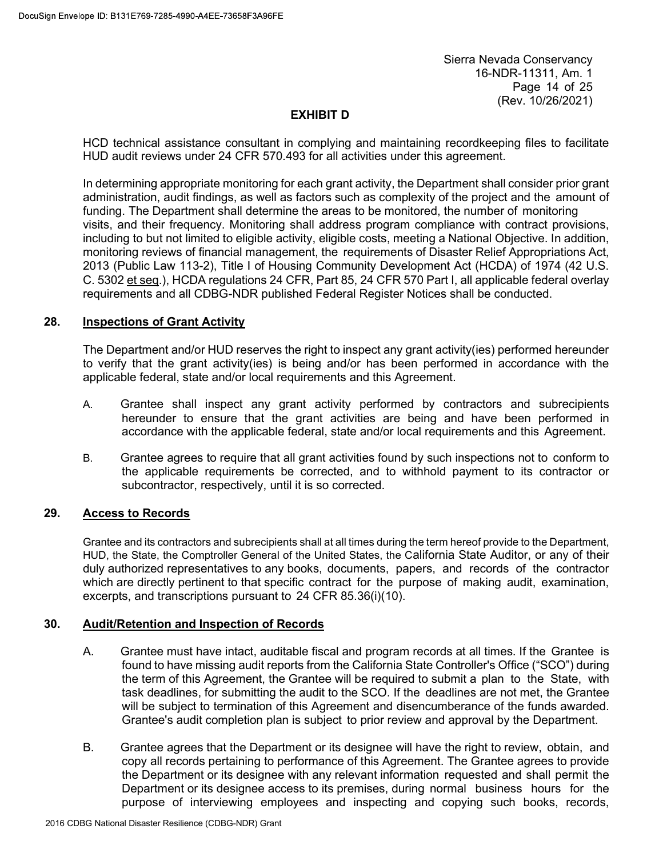Sierra Nevada Conservancy 16-NDR-11311, Am. 1 Page 14 of 25 (Rev. 10/26/2021)

## EXHIBIT D

HCD technical assistance consultant in complying and maintaining recordkeeping files to facilitate HUD audit reviews under 24 CFR 570.493 for all activities under this agreement.

In determining appropriate monitoring for each grant activity, the Department shall consider prior grant administration, audit findings, as well as factors such as complexity of the project and the amount of funding. The Department shall determine the areas to be monitored, the number of monitoring visits, and their frequency. Monitoring shall address program compliance with contract provisions, including to but not limited to eligible activity, eligible costs, meeting a National Objective. In addition, monitoring reviews of financial management, the requirements of Disaster Relief Appropriations Act, 2013 (Public Law 113-2), Title I of Housing Community Development Act (HCDA) of 1974 (42 U.S. C. 5302 et seq.), HCDA regulations 24 CFR, Part 85, 24 CFR 570 Part I, all applicable federal overlay requirements and all CDBG-NDR published Federal Register Notices shall be conducted.

## 28. Inspections of Grant Activity

The Department and/or HUD reserves the right to inspect any grant activity(ies) performed hereunder to verify that the grant activity(ies) is being and/or has been performed in accordance with the applicable federal, state and/or local requirements and this Agreement.

- A. Grantee shall inspect any grant activity performed by contractors and subrecipients hereunder to ensure that the grant activities are being and have been performed in accordance with the applicable federal, state and/or local requirements and this Agreement.
- B. Grantee agrees to require that all grant activities found by such inspections not to conform to the applicable requirements be corrected, and to withhold payment to its contractor or subcontractor, respectively, until it is so corrected.

### 29. Access to Records

Grantee and its contractors and subrecipients shall at all times during the term hereof provide to the Department, HUD, the State, the Comptroller General of the United States, the California State Auditor, or any of their duly authorized representatives to any books, documents, papers, and records of the contractor which are directly pertinent to that specific contract for the purpose of making audit, examination, excerpts, and transcriptions pursuant to 24 CFR 85.36(i)(10).

### 30. Audit/Retention and Inspection of Records

- A. Grantee must have intact, auditable fiscal and program records at all times. If the Grantee is found to have missing audit reports from the California State Controller's Office ("SCO") during the term of this Agreement, the Grantee will be required to submit a plan to the State, with task deadlines, for submitting the audit to the SCO. If the deadlines are not met, the Grantee will be subject to termination of this Agreement and disencumberance of the funds awarded. Grantee's audit completion plan is subject to prior review and approval by the Department.
- B. Grantee agrees that the Department or its designee will have the right to review, obtain, and copy all records pertaining to performance of this Agreement. The Grantee agrees to provide the Department or its designee with any relevant information requested and shall permit the Department or its designee access to its premises, during normal business hours for the purpose of interviewing employees and inspecting and copying such books, records,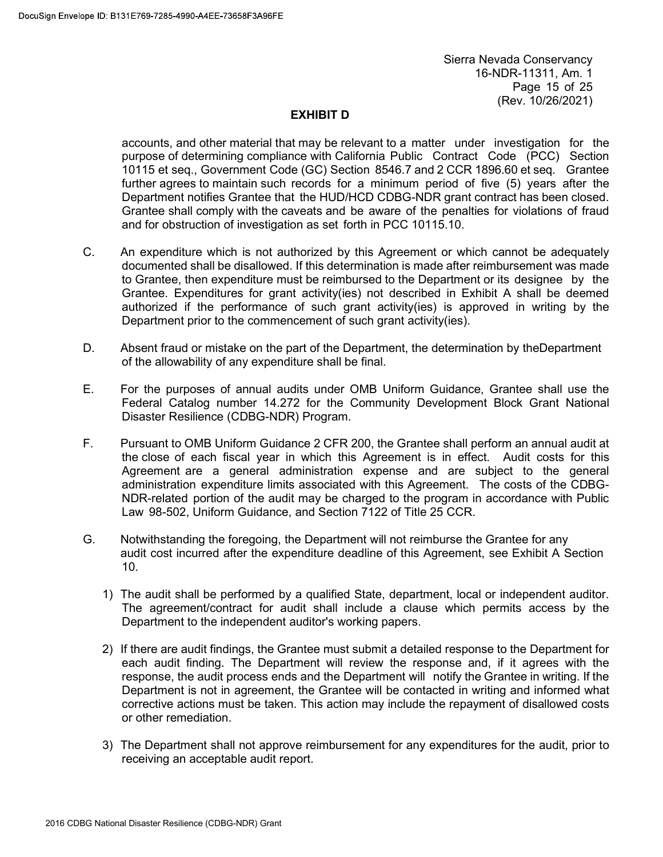Sierra Nevada Conservancy 16-NDR-11311, Am. 1 Page 15 of 25 (Rev. 10/26/2021)

## EXHIBIT D

accounts, and other material that may be relevant to a matter under investigation for the purpose of determining compliance with California Public Contract Code (PCC) Section 10115 et seq., Government Code (GC) Section 8546.7 and 2 CCR 1896.60 et seq. Grantee further agrees to maintain such records for a minimum period of five (5) years after the Department notifies Grantee that the HUD/HCD CDBG-NDR grant contract has been closed. Grantee shall comply with the caveats and be aware of the penalties for violations of fraud and for obstruction of investigation as set forth in PCC 10115.10.

- C. An expenditure which is not authorized by this Agreement or which cannot be adequately documented shall be disallowed. If this determination is made after reimbursement was made to Grantee, then expenditure must be reimbursed to the Department or its designee by the Grantee. Expenditures for grant activity(ies) not described in Exhibit A shall be deemed authorized if the performance of such grant activity(ies) is approved in writing by the Department prior to the commencement of such grant activity(ies).
- D. Absent fraud or mistake on the part of the Department, the determination by theDepartment of the allowability of any expenditure shall be final.
- E. For the purposes of annual audits under OMB Uniform Guidance, Grantee shall use the Federal Catalog number 14.272 for the Community Development Block Grant National Disaster Resilience (CDBG-NDR) Program.
- F. Pursuant to OMB Uniform Guidance 2 CFR 200, the Grantee shall perform an annual audit at the close of each fiscal year in which this Agreement is in effect. Audit costs for this Agreement are a general administration expense and are subject to the general administration expenditure limits associated with this Agreement. The costs of the CDBG-NDR-related portion of the audit may be charged to the program in accordance with Public Law 98-502, Uniform Guidance, and Section 7122 of Title 25 CCR.
- G. Notwithstanding the foregoing, the Department will not reimburse the Grantee for any audit cost incurred after the expenditure deadline of this Agreement, see Exhibit A Section 10.
	- 1) The audit shall be performed by a qualified State, department, local or independent auditor. The agreement/contract for audit shall include a clause which permits access by the Department to the independent auditor's working papers.
	- 2) If there are audit findings, the Grantee must submit a detailed response to the Department for each audit finding. The Department will review the response and, if it agrees with the response, the audit process ends and the Department will notify the Grantee in writing. If the Department is not in agreement, the Grantee will be contacted in writing and informed what corrective actions must be taken. This action may include the repayment of disallowed costs or other remediation.
	- 3) The Department shall not approve reimbursement for any expenditures for the audit, prior to receiving an acceptable audit report.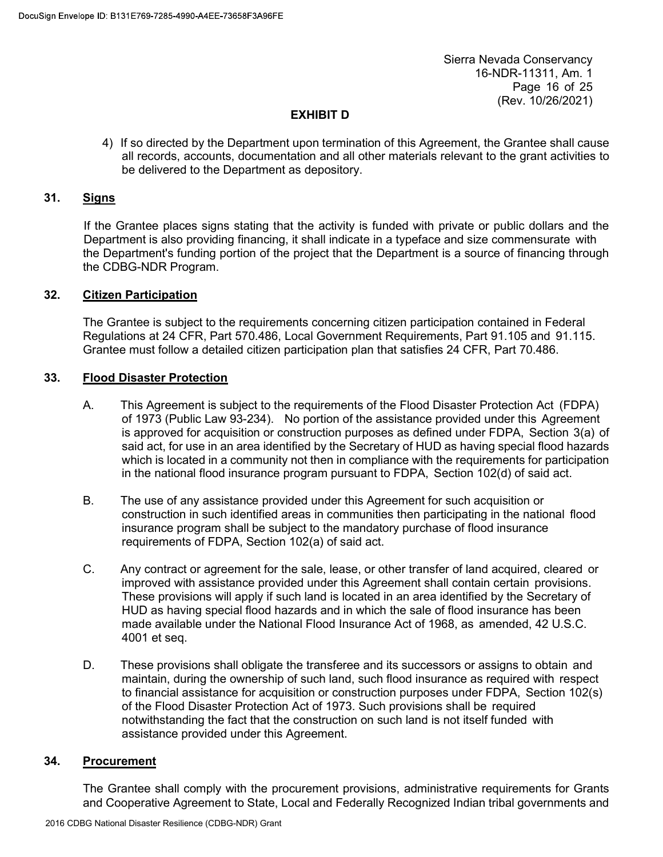Sierra Nevada Conservancy 16-NDR-11311, Am. 1 Page 16 of 25 (Rev. 10/26/2021)

# EXHIBIT D

4) If so directed by the Department upon termination of this Agreement, the Grantee shall cause all records, accounts, documentation and all other materials relevant to the grant activities to be delivered to the Department as depository.

## 31. Signs

If the Grantee places signs stating that the activity is funded with private or public dollars and the Department is also providing financing, it shall indicate in a typeface and size commensurate with the Department's funding portion of the project that the Department is a source of financing through the CDBG-NDR Program.

## 32. Citizen Participation

The Grantee is subject to the requirements concerning citizen participation contained in Federal Regulations at 24 CFR, Part 570.486, Local Government Requirements, Part 91.105 and 91.115. Grantee must follow a detailed citizen participation plan that satisfies 24 CFR, Part 70.486.

## 33. Flood Disaster Protection

- A. This Agreement is subject to the requirements of the Flood Disaster Protection Act (FDPA) of 1973 (Public Law 93-234). No portion of the assistance provided under this Agreement is approved for acquisition or construction purposes as defined under FDPA, Section 3(a) of said act, for use in an area identified by the Secretary of HUD as having special flood hazards which is located in a community not then in compliance with the requirements for participation in the national flood insurance program pursuant to FDPA, Section 102(d) of said act.
- B. The use of any assistance provided under this Agreement for such acquisition or construction in such identified areas in communities then participating in the national flood insurance program shall be subject to the mandatory purchase of flood insurance requirements of FDPA, Section 102(a) of said act.
- C. Any contract or agreement for the sale, lease, or other transfer of land acquired, cleared or improved with assistance provided under this Agreement shall contain certain provisions. These provisions will apply if such land is located in an area identified by the Secretary of HUD as having special flood hazards and in which the sale of flood insurance has been made available under the National Flood Insurance Act of 1968, as amended, 42 U.S.C. 4001 et seq.
- D. These provisions shall obligate the transferee and its successors or assigns to obtain and maintain, during the ownership of such land, such flood insurance as required with respect to financial assistance for acquisition or construction purposes under FDPA, Section 102(s) of the Flood Disaster Protection Act of 1973. Such provisions shall be required notwithstanding the fact that the construction on such land is not itself funded with assistance provided under this Agreement.

### 34. Procurement

The Grantee shall comply with the procurement provisions, administrative requirements for Grants and Cooperative Agreement to State, Local and Federally Recognized Indian tribal governments and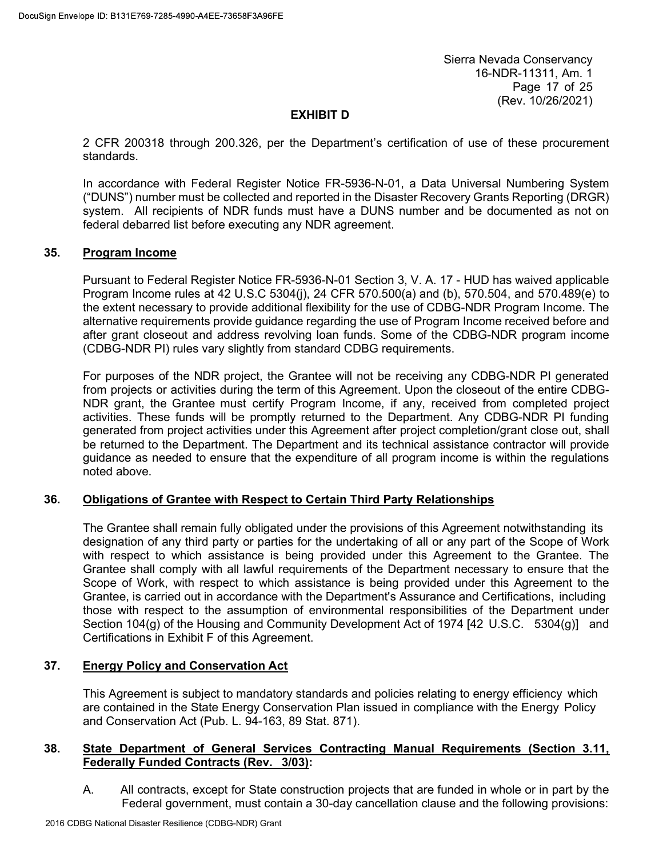Sierra Nevada Conservancy 16-NDR-11311, Am. 1 Page 17 of 25 (Rev. 10/26/2021)

### EXHIBIT D

2 CFR 200318 through 200.326, per the Department's certification of use of these procurement standards.

In accordance with Federal Register Notice FR-5936-N-01, a Data Universal Numbering System ("DUNS") number must be collected and reported in the Disaster Recovery Grants Reporting (DRGR) system. All recipients of NDR funds must have a DUNS number and be documented as not on federal debarred list before executing any NDR agreement.

#### 35. Program Income

Pursuant to Federal Register Notice FR-5936-N-01 Section 3, V. A. 17 - HUD has waived applicable Program Income rules at 42 U.S.C 5304(j), 24 CFR 570.500(a) and (b), 570.504, and 570.489(e) to the extent necessary to provide additional flexibility for the use of CDBG-NDR Program Income. The alternative requirements provide guidance regarding the use of Program Income received before and after grant closeout and address revolving loan funds. Some of the CDBG-NDR program income (CDBG-NDR PI) rules vary slightly from standard CDBG requirements.

For purposes of the NDR project, the Grantee will not be receiving any CDBG-NDR PI generated from projects or activities during the term of this Agreement. Upon the closeout of the entire CDBG-NDR grant, the Grantee must certify Program Income, if any, received from completed project activities. These funds will be promptly returned to the Department. Any CDBG-NDR PI funding generated from project activities under this Agreement after project completion/grant close out, shall be returned to the Department. The Department and its technical assistance contractor will provide guidance as needed to ensure that the expenditure of all program income is within the regulations noted above.

### 36. Obligations of Grantee with Respect to Certain Third Party Relationships

The Grantee shall remain fully obligated under the provisions of this Agreement notwithstanding its designation of any third party or parties for the undertaking of all or any part of the Scope of Work with respect to which assistance is being provided under this Agreement to the Grantee. The Grantee shall comply with all lawful requirements of the Department necessary to ensure that the Scope of Work, with respect to which assistance is being provided under this Agreement to the Grantee, is carried out in accordance with the Department's Assurance and Certifications, including those with respect to the assumption of environmental responsibilities of the Department under Section 104(g) of the Housing and Community Development Act of 1974 [42 U.S.C. 5304(g)] and Certifications in Exhibit F of this Agreement.

### 37. Energy Policy and Conservation Act

This Agreement is subject to mandatory standards and policies relating to energy efficiency which are contained in the State Energy Conservation Plan issued in compliance with the Energy Policy and Conservation Act (Pub. L. 94-163, 89 Stat. 871).

#### 38. State Department of General Services Contracting Manual Requirements (Section 3.11, Federally Funded Contracts (Rev. 3/03):

A. All contracts, except for State construction projects that are funded in whole or in part by the Federal government, must contain a 30-day cancellation clause and the following provisions: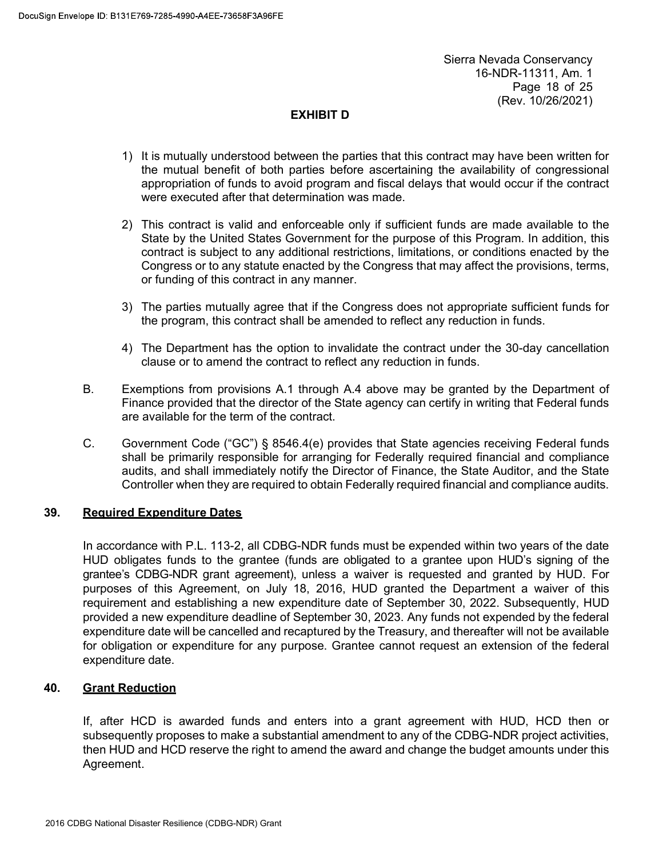Sierra Nevada Conservancy 16-NDR-11311, Am. 1 Page 18 of 25 (Rev. 10/26/2021)

# EXHIBIT D

- 1) It is mutually understood between the parties that this contract may have been written for the mutual benefit of both parties before ascertaining the availability of congressional appropriation of funds to avoid program and fiscal delays that would occur if the contract were executed after that determination was made.
- 2) This contract is valid and enforceable only if sufficient funds are made available to the State by the United States Government for the purpose of this Program. In addition, this contract is subject to any additional restrictions, limitations, or conditions enacted by the Congress or to any statute enacted by the Congress that may affect the provisions, terms, or funding of this contract in any manner.
- 3) The parties mutually agree that if the Congress does not appropriate sufficient funds for the program, this contract shall be amended to reflect any reduction in funds.
- 4) The Department has the option to invalidate the contract under the 30-day cancellation clause or to amend the contract to reflect any reduction in funds.
- B. Exemptions from provisions A.1 through A.4 above may be granted by the Department of Finance provided that the director of the State agency can certify in writing that Federal funds are available for the term of the contract.
- C. Government Code ("GC") § 8546.4(e) provides that State agencies receiving Federal funds shall be primarily responsible for arranging for Federally required financial and compliance audits, and shall immediately notify the Director of Finance, the State Auditor, and the State Controller when they are required to obtain Federally required financial and compliance audits.

### 39. Required Expenditure Dates

In accordance with P.L. 113-2, all CDBG-NDR funds must be expended within two years of the date HUD obligates funds to the grantee (funds are obligated to a grantee upon HUD's signing of the grantee's CDBG-NDR grant agreement), unless a waiver is requested and granted by HUD. For purposes of this Agreement, on July 18, 2016, HUD granted the Department a waiver of this requirement and establishing a new expenditure date of September 30, 2022. Subsequently, HUD provided a new expenditure deadline of September 30, 2023. Any funds not expended by the federal expenditure date will be cancelled and recaptured by the Treasury, and thereafter will not be available for obligation or expenditure for any purpose. Grantee cannot request an extension of the federal expenditure date.

### 40. Grant Reduction

If, after HCD is awarded funds and enters into a grant agreement with HUD, HCD then or subsequently proposes to make a substantial amendment to any of the CDBG-NDR project activities, then HUD and HCD reserve the right to amend the award and change the budget amounts under this Agreement.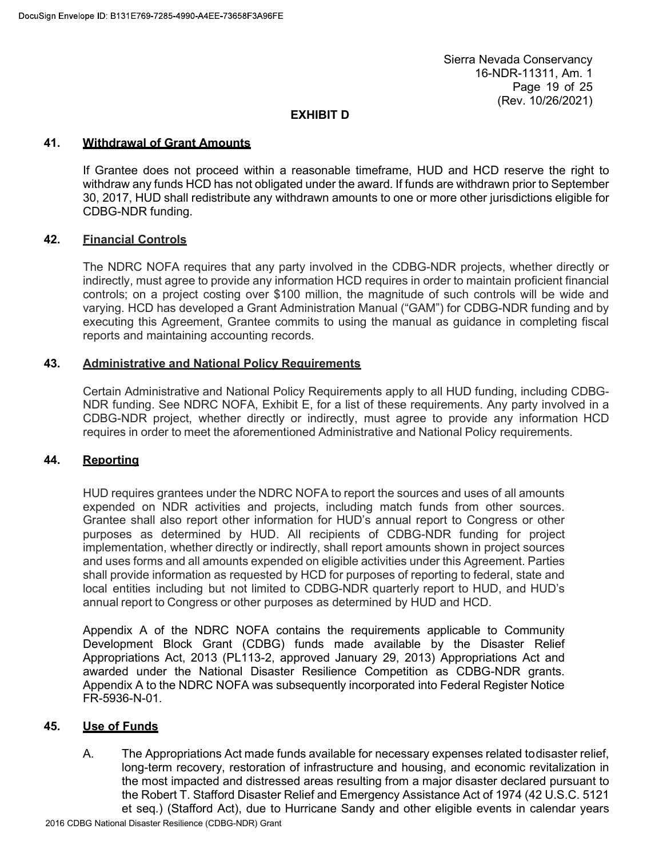Sierra Nevada Conservancy 16-NDR-11311, Am. 1 Page 19 of 25 (Rev. 10/26/2021)

## EXHIBIT D

## 41. Withdrawal of Grant Amounts

If Grantee does not proceed within a reasonable timeframe, HUD and HCD reserve the right to withdraw any funds HCD has not obligated under the award. If funds are withdrawn prior to September 30, 2017, HUD shall redistribute any withdrawn amounts to one or more other jurisdictions eligible for CDBG-NDR funding.

#### 42. Financial Controls

The NDRC NOFA requires that any party involved in the CDBG-NDR projects, whether directly or indirectly, must agree to provide any information HCD requires in order to maintain proficient financial controls; on a project costing over \$100 million, the magnitude of such controls will be wide and varying. HCD has developed a Grant Administration Manual ("GAM") for CDBG-NDR funding and by executing this Agreement, Grantee commits to using the manual as guidance in completing fiscal reports and maintaining accounting records.

#### 43. Administrative and National Policy Requirements

Certain Administrative and National Policy Requirements apply to all HUD funding, including CDBG-NDR funding. See NDRC NOFA, Exhibit E, for a list of these requirements. Any party involved in a CDBG-NDR project, whether directly or indirectly, must agree to provide any information HCD requires in order to meet the aforementioned Administrative and National Policy requirements.

#### 44. Reporting

HUD requires grantees under the NDRC NOFA to report the sources and uses of all amounts expended on NDR activities and projects, including match funds from other sources. Grantee shall also report other information for HUD's annual report to Congress or other purposes as determined by HUD. All recipients of CDBG-NDR funding for project implementation, whether directly or indirectly, shall report amounts shown in project sources and uses forms and all amounts expended on eligible activities under this Agreement. Parties shall provide information as requested by HCD for purposes of reporting to federal, state and local entities including but not limited to CDBG-NDR quarterly report to HUD, and HUD's annual report to Congress or other purposes as determined by HUD and HCD.

Appendix A of the NDRC NOFA contains the requirements applicable to Community Development Block Grant (CDBG) funds made available by the Disaster Relief Appropriations Act, 2013 (PL113-2, approved January 29, 2013) Appropriations Act and awarded under the National Disaster Resilience Competition as CDBG-NDR grants. Appendix A to the NDRC NOFA was subsequently incorporated into Federal Register Notice FR-5936-N-01.

### 45. Use of Funds

A. The Appropriations Act made funds available for necessary expenses related to disaster relief, long-term recovery, restoration of infrastructure and housing, and economic revitalization in the most impacted and distressed areas resulting from a major disaster declared pursuant to the Robert T. Stafford Disaster Relief and Emergency Assistance Act of 1974 (42 U.S.C. 5121 et seq.) (Stafford Act), due to Hurricane Sandy and other eligible events in calendar years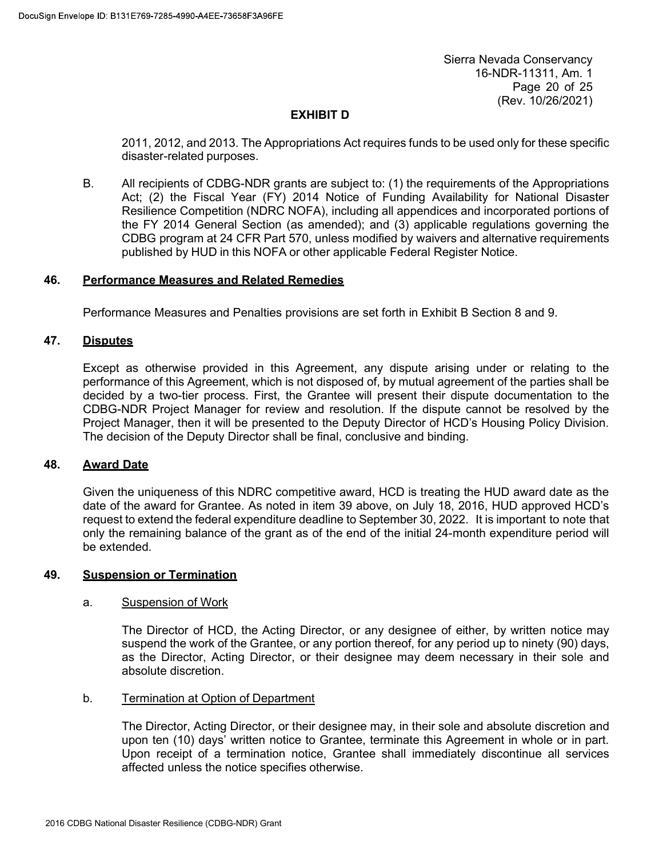Sierra Nevada Conservancy 16-NDR-11311, Am. 1 Page 20 of 25 (Rev. 10/26/2021)

## EXHIBIT D

2011, 2012, and 2013. The Appropriations Act requires funds to be used only for these specific disaster-related purposes.

B. All recipients of CDBG-NDR grants are subject to: (1) the requirements of the Appropriations Act; (2) the Fiscal Year (FY) 2014 Notice of Funding Availability for National Disaster Resilience Competition (NDRC NOFA), including all appendices and incorporated portions of the FY 2014 General Section (as amended); and (3) applicable regulations governing the CDBG program at 24 CFR Part 570, unless modified by waivers and alternative requirements published by HUD in this NOFA or other applicable Federal Register Notice.

#### 46. Performance Measures and Related Remedies

Performance Measures and Penalties provisions are set forth in Exhibit B Section 8 and 9.

#### 47. Disputes

Except as otherwise provided in this Agreement, any dispute arising under or relating to the performance of this Agreement, which is not disposed of, by mutual agreement of the parties shall be decided by a two-tier process. First, the Grantee will present their dispute documentation to the CDBG-NDR Project Manager for review and resolution. If the dispute cannot be resolved by the Project Manager, then it will be presented to the Deputy Director of HCD's Housing Policy Division. The decision of the Deputy Director shall be final, conclusive and binding.

### 48. Award Date

Given the uniqueness of this NDRC competitive award, HCD is treating the HUD award date as the date of the award for Grantee. As noted in item 39 above, on July 18, 2016, HUD approved HCD's request to extend the federal expenditure deadline to September 30, 2022. It is important to note that only the remaining balance of the grant as of the end of the initial 24-month expenditure period will be extended.

#### 49. Suspension or Termination

#### a. Suspension of Work

The Director of HCD, the Acting Director, or any designee of either, by written notice may suspend the work of the Grantee, or any portion thereof, for any period up to ninety (90) days, as the Director, Acting Director, or their designee may deem necessary in their sole and absolute discretion.

#### b. Termination at Option of Department

The Director, Acting Director, or their designee may, in their sole and absolute discretion and upon ten (10) days' written notice to Grantee, terminate this Agreement in whole or in part. Upon receipt of a termination notice, Grantee shall immediately discontinue all services affected unless the notice specifies otherwise.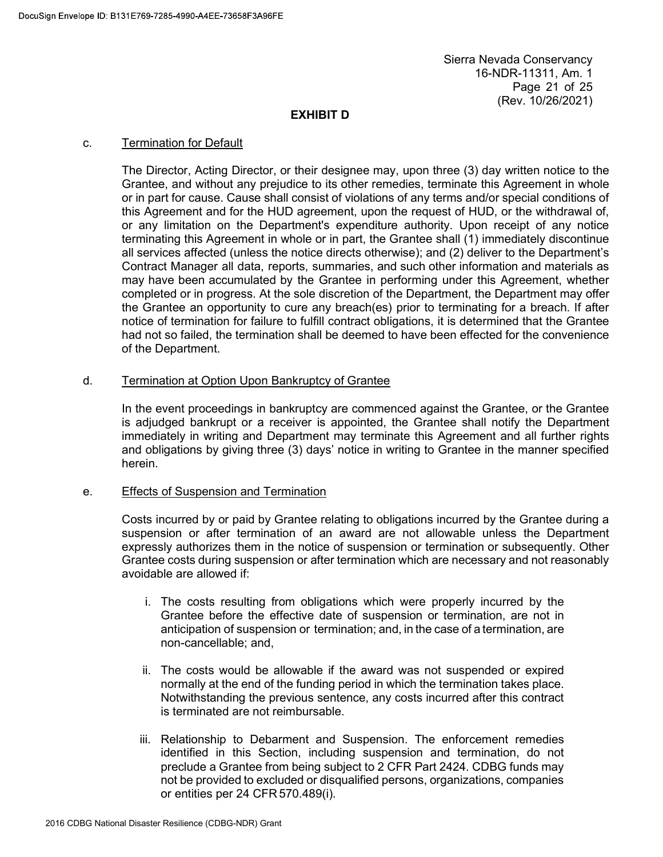Sierra Nevada Conservancy 16-NDR-11311, Am. 1 Page 21 of 25 (Rev. 10/26/2021)

## EXHIBIT D

#### c. Termination for Default

The Director, Acting Director, or their designee may, upon three (3) day written notice to the Grantee, and without any prejudice to its other remedies, terminate this Agreement in whole or in part for cause. Cause shall consist of violations of any terms and/or special conditions of this Agreement and for the HUD agreement, upon the request of HUD, or the withdrawal of, or any limitation on the Department's expenditure authority. Upon receipt of any notice terminating this Agreement in whole or in part, the Grantee shall (1) immediately discontinue all services affected (unless the notice directs otherwise); and (2) deliver to the Department's Contract Manager all data, reports, summaries, and such other information and materials as may have been accumulated by the Grantee in performing under this Agreement, whether completed or in progress. At the sole discretion of the Department, the Department may offer the Grantee an opportunity to cure any breach(es) prior to terminating for a breach. If after notice of termination for failure to fulfill contract obligations, it is determined that the Grantee had not so failed, the termination shall be deemed to have been effected for the convenience of the Department.

#### d. Termination at Option Upon Bankruptcy of Grantee

In the event proceedings in bankruptcy are commenced against the Grantee, or the Grantee is adjudged bankrupt or a receiver is appointed, the Grantee shall notify the Department immediately in writing and Department may terminate this Agreement and all further rights and obligations by giving three (3) days' notice in writing to Grantee in the manner specified herein.

#### e. Effects of Suspension and Termination

Costs incurred by or paid by Grantee relating to obligations incurred by the Grantee during a suspension or after termination of an award are not allowable unless the Department expressly authorizes them in the notice of suspension or termination or subsequently. Other Grantee costs during suspension or after termination which are necessary and not reasonably avoidable are allowed if:

- i. The costs resulting from obligations which were properly incurred by the Grantee before the effective date of suspension or termination, are not in anticipation of suspension or termination; and, in the case of a termination, are non-cancellable; and,
- ii. The costs would be allowable if the award was not suspended or expired normally at the end of the funding period in which the termination takes place. Notwithstanding the previous sentence, any costs incurred after this contract is terminated are not reimbursable.
- iii. Relationship to Debarment and Suspension. The enforcement remedies identified in this Section, including suspension and termination, do not preclude a Grantee from being subject to 2 CFR Part 2424. CDBG funds may not be provided to excluded or disqualified persons, organizations, companies or entities per 24 CFR 570.489(i).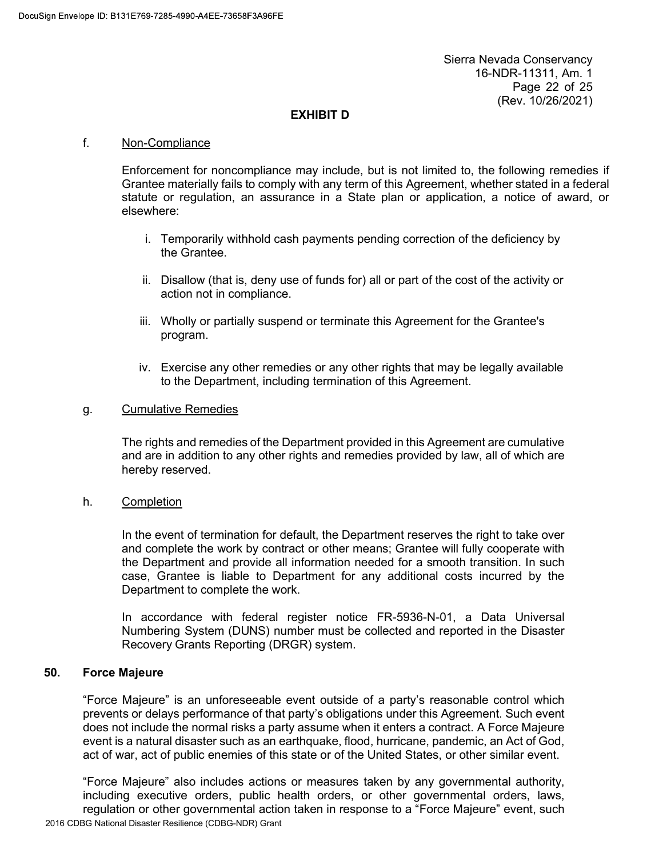Sierra Nevada Conservancy 16-NDR-11311, Am. 1 Page 22 of 25 (Rev. 10/26/2021)

## EXHIBIT D

#### f. Non-Compliance

Enforcement for noncompliance may include, but is not limited to, the following remedies if Grantee materially fails to comply with any term of this Agreement, whether stated in a federal statute or regulation, an assurance in a State plan or application, a notice of award, or elsewhere:

- i. Temporarily withhold cash payments pending correction of the deficiency by the Grantee.
- ii. Disallow (that is, deny use of funds for) all or part of the cost of the activity or action not in compliance.
- iii. Wholly or partially suspend or terminate this Agreement for the Grantee's program.
- iv. Exercise any other remedies or any other rights that may be legally available to the Department, including termination of this Agreement.

#### g. Cumulative Remedies

The rights and remedies of the Department provided in this Agreement are cumulative and are in addition to any other rights and remedies provided by law, all of which are hereby reserved.

h. Completion

In the event of termination for default, the Department reserves the right to take over and complete the work by contract or other means; Grantee will fully cooperate with the Department and provide all information needed for a smooth transition. In such case, Grantee is liable to Department for any additional costs incurred by the Department to complete the work.

In accordance with federal register notice FR-5936-N-01, a Data Universal Numbering System (DUNS) number must be collected and reported in the Disaster Recovery Grants Reporting (DRGR) system.

### 50. Force Majeure

"Force Majeure" is an unforeseeable event outside of a party's reasonable control which prevents or delays performance of that party's obligations under this Agreement. Such event does not include the normal risks a party assume when it enters a contract. A Force Majeure event is a natural disaster such as an earthquake, flood, hurricane, pandemic, an Act of God, act of war, act of public enemies of this state or of the United States, or other similar event.

2016 CDBG National Disaster Resilience (CDBG-NDR) Grant "Force Majeure" also includes actions or measures taken by any governmental authority, including executive orders, public health orders, or other governmental orders, laws, regulation or other governmental action taken in response to a "Force Majeure" event, such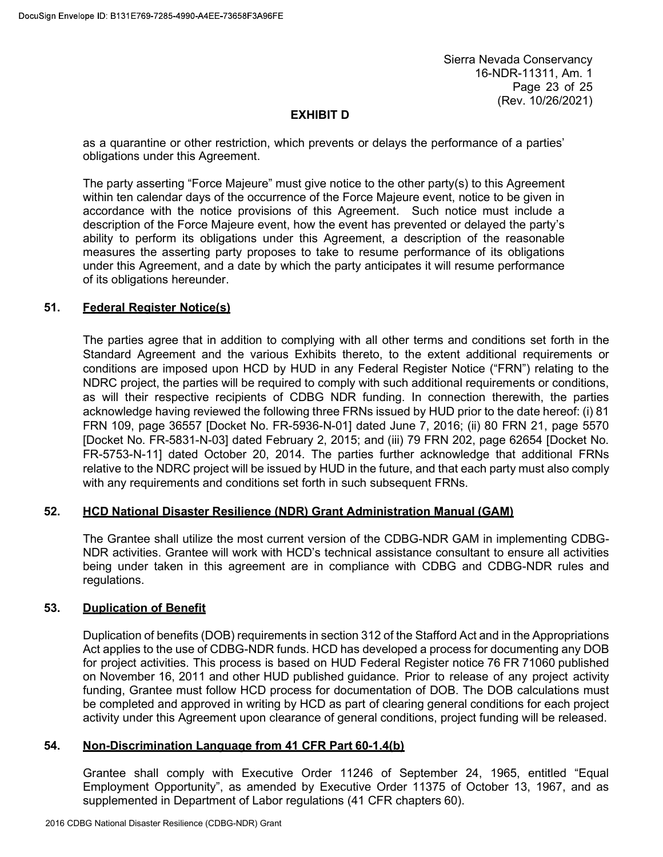Sierra Nevada Conservancy 16-NDR-11311, Am. 1 Page 23 of 25 (Rev. 10/26/2021)

#### EXHIBIT D

as a quarantine or other restriction, which prevents or delays the performance of a parties' obligations under this Agreement.

The party asserting "Force Majeure" must give notice to the other party(s) to this Agreement within ten calendar days of the occurrence of the Force Majeure event, notice to be given in accordance with the notice provisions of this Agreement. Such notice must include a description of the Force Majeure event, how the event has prevented or delayed the party's ability to perform its obligations under this Agreement, a description of the reasonable measures the asserting party proposes to take to resume performance of its obligations under this Agreement, and a date by which the party anticipates it will resume performance of its obligations hereunder.

#### 51. Federal Register Notice(s)

The parties agree that in addition to complying with all other terms and conditions set forth in the Standard Agreement and the various Exhibits thereto, to the extent additional requirements or conditions are imposed upon HCD by HUD in any Federal Register Notice ("FRN") relating to the NDRC project, the parties will be required to comply with such additional requirements or conditions, as will their respective recipients of CDBG NDR funding. In connection therewith, the parties acknowledge having reviewed the following three FRNs issued by HUD prior to the date hereof: (i) 81 FRN 109, page 36557 [Docket No. FR-5936-N-01] dated June 7, 2016; (ii) 80 FRN 21, page 5570 [Docket No. FR-5831-N-03] dated February 2, 2015; and (iii) 79 FRN 202, page 62654 [Docket No. FR-5753-N-11] dated October 20, 2014. The parties further acknowledge that additional FRNs relative to the NDRC project will be issued by HUD in the future, and that each party must also comply with any requirements and conditions set forth in such subsequent FRNs.

### 52. HCD National Disaster Resilience (NDR) Grant Administration Manual (GAM)

The Grantee shall utilize the most current version of the CDBG-NDR GAM in implementing CDBG-NDR activities. Grantee will work with HCD's technical assistance consultant to ensure all activities being under taken in this agreement are in compliance with CDBG and CDBG-NDR rules and regulations.

#### 53. Duplication of Benefit

Duplication of benefits (DOB) requirements in section 312 of the Stafford Act and in the Appropriations Act applies to the use of CDBG-NDR funds. HCD has developed a process for documenting any DOB for project activities. This process is based on HUD Federal Register notice 76 FR 71060 published on November 16, 2011 and other HUD published guidance. Prior to release of any project activity funding, Grantee must follow HCD process for documentation of DOB. The DOB calculations must be completed and approved in writing by HCD as part of clearing general conditions for each project activity under this Agreement upon clearance of general conditions, project funding will be released.

#### 54. Non-Discrimination Language from 41 CFR Part 60-1.4(b)

Grantee shall comply with Executive Order 11246 of September 24, 1965, entitled "Equal Employment Opportunity", as amended by Executive Order 11375 of October 13, 1967, and as supplemented in Department of Labor regulations (41 CFR chapters 60).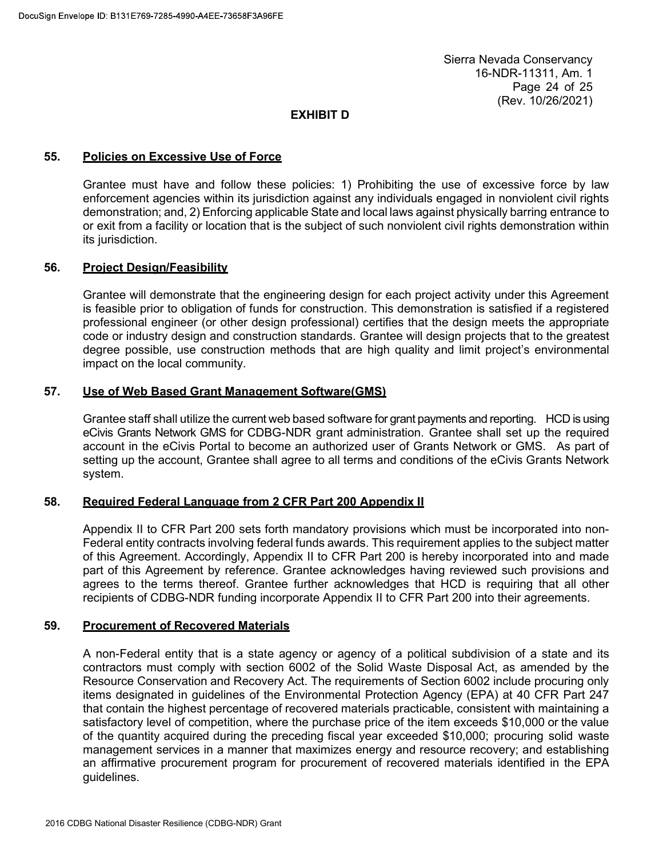Sierra Nevada Conservancy 16-NDR-11311, Am. 1 Page 24 of 25 (Rev. 10/26/2021)

## EXHIBIT D

#### 55. Policies on Excessive Use of Force

Grantee must have and follow these policies: 1) Prohibiting the use of excessive force by law enforcement agencies within its jurisdiction against any individuals engaged in nonviolent civil rights demonstration; and, 2) Enforcing applicable State and local laws against physically barring entrance to or exit from a facility or location that is the subject of such nonviolent civil rights demonstration within its jurisdiction.

#### 56. Project Design/Feasibility

Grantee will demonstrate that the engineering design for each project activity under this Agreement is feasible prior to obligation of funds for construction. This demonstration is satisfied if a registered professional engineer (or other design professional) certifies that the design meets the appropriate code or industry design and construction standards. Grantee will design projects that to the greatest degree possible, use construction methods that are high quality and limit project's environmental impact on the local community.

#### 57. Use of Web Based Grant Management Software(GMS)

Grantee staff shall utilize the current web based software for grant payments and reporting. HCD is using eCivis Grants Network GMS for CDBG-NDR grant administration. Grantee shall set up the required account in the eCivis Portal to become an authorized user of Grants Network or GMS. As part of setting up the account, Grantee shall agree to all terms and conditions of the eCivis Grants Network system.

#### 58. Required Federal Language from 2 CFR Part 200 Appendix II

Appendix II to CFR Part 200 sets forth mandatory provisions which must be incorporated into non-Federal entity contracts involving federal funds awards. This requirement applies to the subject matter of this Agreement. Accordingly, Appendix II to CFR Part 200 is hereby incorporated into and made part of this Agreement by reference. Grantee acknowledges having reviewed such provisions and agrees to the terms thereof. Grantee further acknowledges that HCD is requiring that all other recipients of CDBG-NDR funding incorporate Appendix II to CFR Part 200 into their agreements.

### 59. Procurement of Recovered Materials

A non-Federal entity that is a state agency or agency of a political subdivision of a state and its contractors must comply with section 6002 of the Solid Waste Disposal Act, as amended by the Resource Conservation and Recovery Act. The requirements of Section 6002 include procuring only items designated in guidelines of the Environmental Protection Agency (EPA) at 40 CFR Part 247 that contain the highest percentage of recovered materials practicable, consistent with maintaining a satisfactory level of competition, where the purchase price of the item exceeds \$10,000 or the value of the quantity acquired during the preceding fiscal year exceeded \$10,000; procuring solid waste management services in a manner that maximizes energy and resource recovery; and establishing an affirmative procurement program for procurement of recovered materials identified in the EPA guidelines.